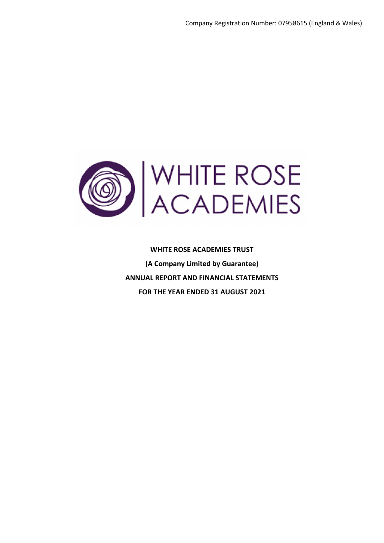

**WHITE ROSE ACADEMIES TRUST (A Company Limited by Guarantee) ANNUAL REPORT AND FINANCIAL STATEMENTS FOR THE YEAR ENDED 31 AUGUST 2021**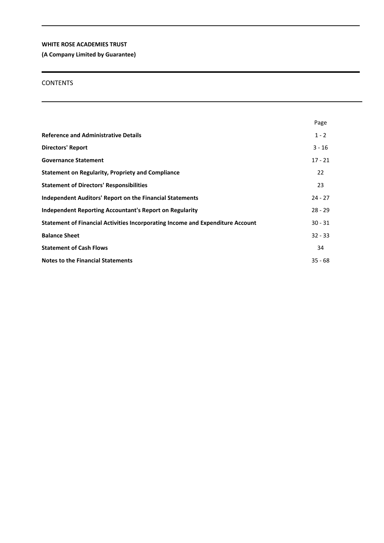**(A Company Limited by Guarantee)**

## **CONTENTS**

|                                                                                | Page      |
|--------------------------------------------------------------------------------|-----------|
| <b>Reference and Administrative Details</b>                                    | $1 - 2$   |
| <b>Directors' Report</b>                                                       | $3 - 16$  |
| <b>Governance Statement</b>                                                    | $17 - 21$ |
| <b>Statement on Regularity, Propriety and Compliance</b>                       | 22        |
| <b>Statement of Directors' Responsibilities</b>                                | 23        |
| <b>Independent Auditors' Report on the Financial Statements</b>                | $24 - 27$ |
| Independent Reporting Accountant's Report on Regularity                        | $28 - 29$ |
| Statement of Financial Activities Incorporating Income and Expenditure Account | $30 - 31$ |
| <b>Balance Sheet</b>                                                           | $32 - 33$ |
| <b>Statement of Cash Flows</b>                                                 | 34        |
| <b>Notes to the Financial Statements</b>                                       | $35 - 68$ |
|                                                                                |           |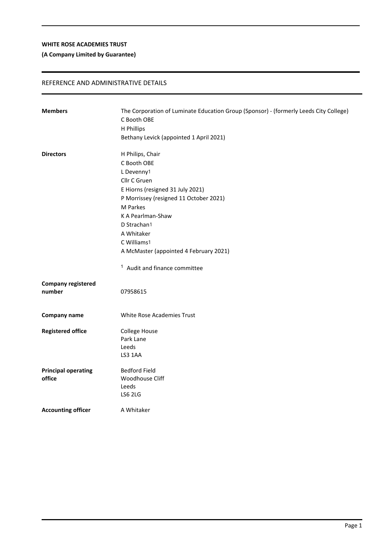## **(A Company Limited by Guarantee)**

## REFERENCE AND ADMINISTRATIVE DETAILS

| <b>Members</b>             | The Corporation of Luminate Education Group (Sponsor) - (formerly Leeds City College) |
|----------------------------|---------------------------------------------------------------------------------------|
|                            | C Booth OBE                                                                           |
|                            | H Phillips                                                                            |
|                            | Bethany Levick (appointed 1 April 2021)                                               |
| <b>Directors</b>           | H Philips, Chair                                                                      |
|                            | C Booth OBE                                                                           |
|                            | L Devenny1                                                                            |
|                            | Cllr C Gruen                                                                          |
|                            | E Hiorns (resigned 31 July 2021)                                                      |
|                            | P Morrissey (resigned 11 October 2021)                                                |
|                            | M Parkes                                                                              |
|                            | K A Pearlman-Shaw                                                                     |
|                            | D Strachan1                                                                           |
|                            | A Whitaker                                                                            |
|                            | C Williams1                                                                           |
|                            | A McMaster (appointed 4 February 2021)                                                |
|                            | <sup>1</sup> Audit and finance committee                                              |
| <b>Company registered</b>  |                                                                                       |
| number                     | 07958615                                                                              |
| Company name               | <b>White Rose Academies Trust</b>                                                     |
| <b>Registered office</b>   | College House                                                                         |
|                            | Park Lane                                                                             |
|                            | Leeds                                                                                 |
|                            | LS3 1AA                                                                               |
| <b>Principal operating</b> | <b>Bedford Field</b>                                                                  |
| office                     | Woodhouse Cliff                                                                       |
|                            | Leeds                                                                                 |
|                            | <b>LS6 2LG</b>                                                                        |
| <b>Accounting officer</b>  | A Whitaker                                                                            |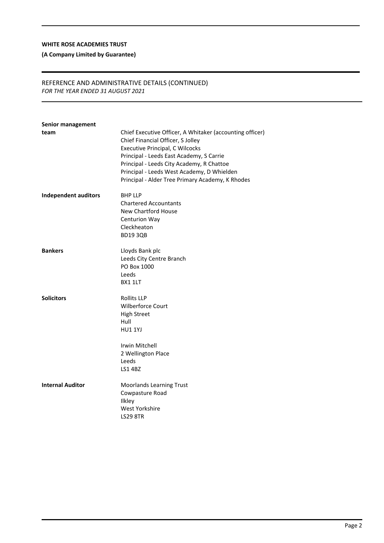## **(A Company Limited by Guarantee)**

## REFERENCE AND ADMINISTRATIVE DETAILS (CONTINUED) *FOR THE YEAR ENDED 31 AUGUST 2021*

| Chief Executive Officer, A Whitaker (accounting officer)                                                                                                                                                                                                               |
|------------------------------------------------------------------------------------------------------------------------------------------------------------------------------------------------------------------------------------------------------------------------|
| Chief Financial Officer, S Jolley<br><b>Executive Principal, C Wilcocks</b><br>Principal - Leeds East Academy, S Carrie<br>Principal - Leeds City Academy, R Chattoe<br>Principal - Leeds West Academy, D Whielden<br>Principal - Alder Tree Primary Academy, K Rhodes |
| <b>BHP LLP</b><br><b>Chartered Accountants</b><br>New Chartford House<br>Centurion Way<br>Cleckheaton<br><b>BD1930B</b>                                                                                                                                                |
| Lloyds Bank plc<br>Leeds City Centre Branch<br>PO Box 1000<br>Leeds<br>BX1 1LT                                                                                                                                                                                         |
| <b>Rollits LLP</b><br><b>Wilberforce Court</b><br><b>High Street</b><br>Hull<br><b>HU1 1YJ</b><br>Irwin Mitchell<br>2 Wellington Place<br>Leeds                                                                                                                        |
| <b>LS1 4BZ</b><br>Moorlands Learning Trust<br>Cowpasture Road<br><b>Ilkley</b><br>West Yorkshire<br><b>LS29 8TR</b>                                                                                                                                                    |
|                                                                                                                                                                                                                                                                        |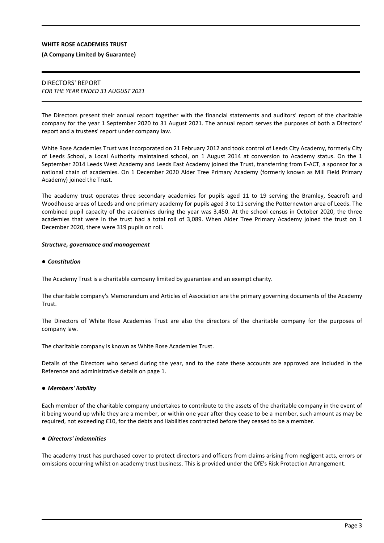#### **(A Company Limited by Guarantee)**

## DIRECTORS' REPORT *FOR THE YEAR ENDED 31 AUGUST 2021*

The Directors present their annual report together with the financial statements and auditors' report of the charitable company for the year 1 September 2020 to 31 August 2021. The annual report serves the purposes of both a Directors' report and a trustees' report under company law.

White Rose Academies Trust was incorporated on 21 February 2012 and took control of Leeds City Academy, formerly City of Leeds School, a Local Authority maintained school, on 1 August 2014 at conversion to Academy status. On the 1 September 2014 Leeds West Academy and Leeds East Academy joined the Trust, transferring from E-ACT, a sponsor for a national chain of academies. On 1 December 2020 Alder Tree Primary Academy (formerly known as Mill Field Primary Academy) joined the Trust.

The academy trust operates three secondary academies for pupils aged 11 to 19 serving the Bramley, Seacroft and Woodhouse areas of Leeds and one primary academy for pupils aged 3 to 11 serving the Potternewton area of Leeds. The combined pupil capacity of the academies during the year was 3,450. At the school census in October 2020, the three academies that were in the trust had a total roll of 3,089. When Alder Tree Primary Academy joined the trust on 1 December 2020, there were 319 pupils on roll.

#### *Structure, governance and management*

#### *Constitution*

The Academy Trust is a charitable company limited by guarantee and an exempt charity.

The charitable company's Memorandum and Articles of Association are the primary governing documents of the Academy **Trust.** 

The Directors of White Rose Academies Trust are also the directors of the charitable company for the purposes of company law.

The charitable company is known as White Rose Academies Trust.

Details of the Directors who served during the year, and to the date these accounts are approved are included in the Reference and administrative details on page 1.

#### *Members' liability*

Each member of the charitable company undertakes to contribute to the assets of the charitable company in the event of it being wound up while they are a member, or within one year after they cease to be a member, such amount as may be required, not exceeding £10, for the debts and liabilities contracted before they ceased to be a member.

#### *Directors' indemnities*

The academy trust has purchased cover to protect directors and officers from claims arising from negligent acts, errors or omissions occurring whilst on academy trust business. This is provided under the DfE's Risk Protection Arrangement.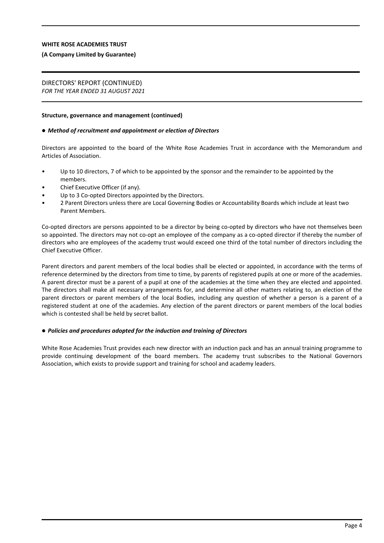#### **(A Company Limited by Guarantee)**

# DIRECTORS' REPORT (CONTINUED)

*FOR THE YEAR ENDED 31 AUGUST 2021*

#### **Structure, governance and management (continued)**

#### *Method of recruitment and appointment or election of Directors*

Directors are appointed to the board of the White Rose Academies Trust in accordance with the Memorandum and Articles of Association.

- Up to 10 directors, 7 of which to be appointed by the sponsor and the remainder to be appointed by the members.
- Chief Executive Officer (if any).
- Up to 3 Co-opted Directors appointed by the Directors.
- 2 Parent Directors unless there are Local Governing Bodies or Accountability Boards which include at least two Parent Members.

Co-opted directors are persons appointed to be a director by being co-opted by directors who have not themselves been so appointed. The directors may not co-opt an employee of the company as a co-opted director if thereby the number of directors who are employees of the academy trust would exceed one third of the total number of directors including the Chief Executive Officer.

Parent directors and parent members of the local bodies shall be elected or appointed, in accordance with the terms of reference determined by the directors from time to time, by parents of registered pupils at one or more of the academies. A parent director must be a parent of a pupil at one of the academies at the time when they are elected and appointed. The directors shall make all necessary arrangements for, and determine all other matters relating to, an election of the parent directors or parent members of the local Bodies, including any question of whether a person is a parent of a registered student at one of the academies. Any election of the parent directors or parent members of the local bodies which is contested shall be held by secret ballot.

#### *Policies and procedures adopted for the induction and training of Directors*

White Rose Academies Trust provides each new director with an induction pack and has an annual training programme to provide continuing development of the board members. The academy trust subscribes to the National Governors Association, which exists to provide support and training for school and academy leaders.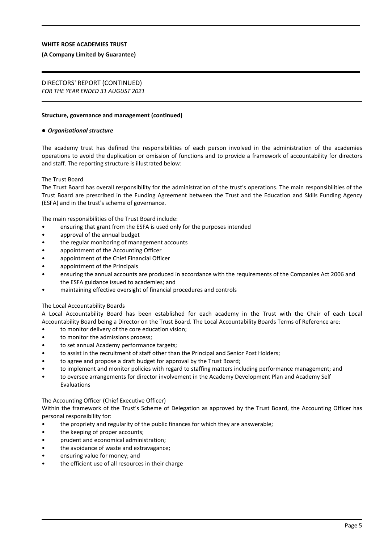#### **(A Company Limited by Guarantee)**

# DIRECTORS' REPORT (CONTINUED)

*FOR THE YEAR ENDED 31 AUGUST 2021*

#### **Structure, governance and management (continued)**

#### *Organisational structure*

The academy trust has defined the responsibilities of each person involved in the administration of the academies operations to avoid the duplication or omission of functions and to provide a framework of accountability for directors and staff. The reporting structure is illustrated below:

#### The Trust Board

The Trust Board has overall responsibility for the administration of the trust's operations. The main responsibilities of the Trust Board are prescribed in the Funding Agreement between the Trust and the Education and Skills Funding Agency (ESFA) and in the trust's scheme of governance.

The main responsibilities of the Trust Board include:

- ensuring that grant from the ESFA is used only for the purposes intended
- approval of the annual budget
- the regular monitoring of management accounts
- appointment of the Accounting Officer
- appointment of the Chief Financial Officer
- appointment of the Principals
- ensuring the annual accounts are produced in accordance with the requirements of the Companies Act 2006 and the ESFA guidance issued to academies; and
- maintaining effective oversight of financial procedures and controls

#### The Local Accountability Boards

A Local Accountability Board has been established for each academy in the Trust with the Chair of each Local Accountability Board being a Director on the Trust Board. The Local Accountability Boards Terms of Reference are:

- to monitor delivery of the core education vision:
- to monitor the admissions process;
- to set annual Academy performance targets;
- to assist in the recruitment of staff other than the Principal and Senior Post Holders;
- to agree and propose a draft budget for approval by the Trust Board;
- to implement and monitor policies with regard to staffing matters including performance management; and
- to oversee arrangements for director involvement in the Academy Development Plan and Academy Self Evaluations

#### The Accounting Officer (Chief Executive Officer)

Within the framework of the Trust's Scheme of Delegation as approved by the Trust Board, the Accounting Officer has personal responsibility for:

- the propriety and regularity of the public finances for which they are answerable;
- the keeping of proper accounts;
- prudent and economical administration;
- the avoidance of waste and extravagance;
- ensuring value for money; and
- the efficient use of all resources in their charge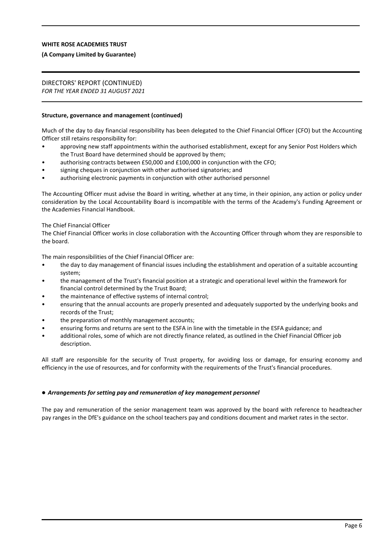#### **(A Company Limited by Guarantee)**

# DIRECTORS' REPORT (CONTINUED)

*FOR THE YEAR ENDED 31 AUGUST 2021*

#### **Structure, governance and management (continued)**

Much of the day to day financial responsibility has been delegated to the Chief Financial Officer (CFO) but the Accounting Officer still retains responsibility for:

- approving new staff appointments within the authorised establishment, except for any Senior Post Holders which the Trust Board have determined should be approved by them;
- authorising contracts between £50,000 and £100,000 in conjunction with the CFO;
- signing cheques in conjunction with other authorised signatories; and
- authorising electronic payments in conjunction with other authorised personnel

The Accounting Officer must advise the Board in writing, whether at any time, in their opinion, any action or policy under consideration by the Local Accountability Board is incompatible with the terms of the Academy's Funding Agreement or the Academies Financial Handbook.

#### The Chief Financial Officer

The Chief Financial Officer works in close collaboration with the Accounting Officer through whom they are responsible to the board.

The main responsibilities of the Chief Financial Officer are:

- the day to day management of financial issues including the establishment and operation of a suitable accounting system;
- the management of the Trust's financial position at a strategic and operational level within the framework for financial control determined by the Trust Board;
- the maintenance of effective systems of internal control;
- ensuring that the annual accounts are properly presented and adequately supported by the underlying books and records of the Trust;
- the preparation of monthly management accounts;
- ensuring forms and returns are sent to the ESFA in line with the timetable in the ESFA guidance; and
- additional roles, some of which are not directly finance related, as outlined in the Chief Financial Officer job description.

All staff are responsible for the security of Trust property, for avoiding loss or damage, for ensuring economy and efficiency in the use of resources, and for conformity with the requirements of the Trust's financial procedures.

#### *Arrangements for setting pay and remuneration of key management personnel*

The pay and remuneration of the senior management team was approved by the board with reference to headteacher pay ranges in the DfE's guidance on the school teachers pay and conditions document and market rates in the sector.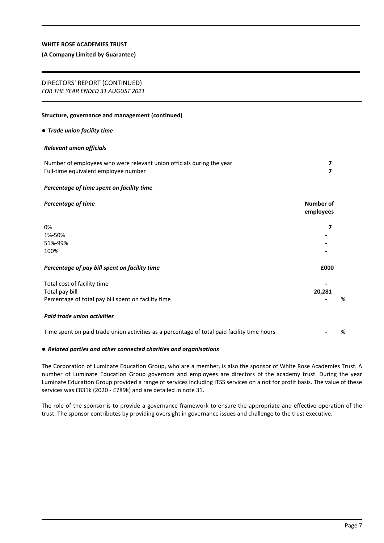#### **(A Company Limited by Guarantee)**

## DIRECTORS' REPORT (CONTINUED)

*FOR THE YEAR ENDED 31 AUGUST 2021*

#### **Structure, governance and management (continued)**

#### *Trade union facility time*

#### *Relevant union officials*

| Number of employees who were relevant union officials during the year |  |
|-----------------------------------------------------------------------|--|
| Full-time equivalent employee number                                  |  |

#### *Percentage of time spent on facility time*

| Percentage of time                                                                          | Number of<br>employees |   |
|---------------------------------------------------------------------------------------------|------------------------|---|
| 0%                                                                                          |                        |   |
| 1%-50%                                                                                      |                        |   |
| 51%-99%                                                                                     |                        |   |
| 100%                                                                                        |                        |   |
| Percentage of pay bill spent on facility time                                               | £000                   |   |
| Total cost of facility time                                                                 |                        |   |
| Total pay bill                                                                              | 20,281                 |   |
| Percentage of total pay bill spent on facility time                                         |                        | % |
| <b>Paid trade union activities</b>                                                          |                        |   |
| Time spent on paid trade union activities as a percentage of total paid facility time hours |                        | % |

#### *Related parties and other connected charities and organisations*

The Corporation of Luminate Education Group, who are a member, is also the sponsor of White Rose Academies Trust. A number of Luminate Education Group governors and employees are directors of the academy trust. During the year Luminate Education Group provided a range of services including ITSS services on a not for profit basis. The value of these services was £831k (2020 - £789k) and are detailed in note 31.

The role of the sponsor is to provide a governance framework to ensure the appropriate and effective operation of the trust. The sponsor contributes by providing oversight in governance issues and challenge to the trust executive.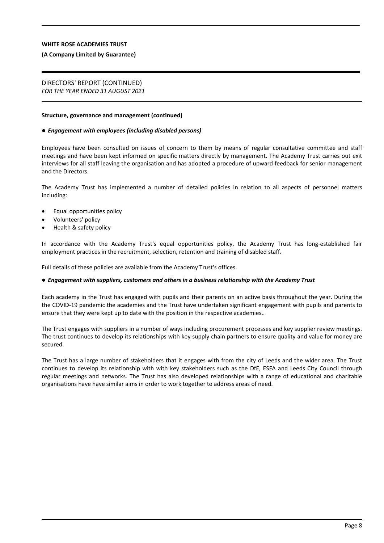#### **(A Company Limited by Guarantee)**

#### DIRECTORS' REPORT (CONTINUED) *FOR THE YEAR ENDED 31 AUGUST 2021*

#### **Structure, governance and management (continued)**

#### *Engagement with employees (including disabled persons)*

Employees have been consulted on issues of concern to them by means of regular consultative committee and staff meetings and have been kept informed on specific matters directly by management. The Academy Trust carries out exit interviews for all staff leaving the organisation and has adopted a procedure of upward feedback for senior management and the Directors.

The Academy Trust has implemented a number of detailed policies in relation to all aspects of personnel matters including:

- Equal opportunities policy
- Volunteers' policy
- Health & safety policy

In accordance with the Academy Trust's equal opportunities policy, the Academy Trust has long-established fair employment practices in the recruitment, selection, retention and training of disabled staff.

Full details of these policies are available from the Academy Trust's offices.

#### *Engagement with suppliers, customers and others in a business relationship with the Academy Trust*

Each academy in the Trust has engaged with pupils and their parents on an active basis throughout the year. During the the COVID-19 pandemic the academies and the Trust have undertaken significant engagement with pupils and parents to ensure that they were kept up to date with the position in the respective academies..

The Trust engages with suppliers in a number of ways including procurement processes and key supplier review meetings. The trust continues to develop its relationships with key supply chain partners to ensure quality and value for money are secured.

The Trust has a large number of stakeholders that it engages with from the city of Leeds and the wider area. The Trust continues to develop its relationship with with key stakeholders such as the DfE, ESFA and Leeds City Council through regular meetings and networks. The Trust has also developed relationships with a range of educational and charitable organisations have have similar aims in order to work together to address areas of need.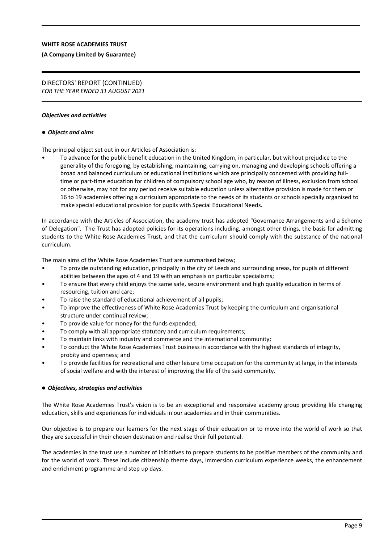#### **(A Company Limited by Guarantee)**

#### DIRECTORS' REPORT (CONTINUED) *FOR THE YEAR ENDED 31 AUGUST 2021*

#### *Objectives and activities*

#### *Objects and aims*

The principal object set out in our Articles of Association is:

• To advance for the public benefit education in the United Kingdom, in particular, but without prejudice to the generality of the foregoing, by establishing, maintaining, carrying on, managing and developing schools offering a broad and balanced curriculum or educational institutions which are principally concerned with providing fulltime or part-time education for children of compulsory school age who, by reason of illness, exclusion from school or otherwise, may not for any period receive suitable education unless alternative provision is made for them or 16 to 19 academies offering a curriculum appropriate to the needs of its students or schools specially organised to make special educational provision for pupils with Special Educational Needs.

In accordance with the Articles of Association, the academy trust has adopted "Governance Arrangements and a Scheme of Delegation". The Trust has adopted policies for its operations including, amongst other things, the basis for admitting students to the White Rose Academies Trust, and that the curriculum should comply with the substance of the national curriculum.

The main aims of the White Rose Academies Trust are summarised below;

- To provide outstanding education, principally in the city of Leeds and surrounding areas, for pupils of different abilities between the ages of 4 and 19 with an emphasis on particular specialisms;
- To ensure that every child enjoys the same safe, secure environment and high quality education in terms of resourcing, tuition and care;
- To raise the standard of educational achievement of all pupils;
- To improve the effectiveness of White Rose Academies Trust by keeping the curriculum and organisational structure under continual review;
- To provide value for money for the funds expended;
- To comply with all appropriate statutory and curriculum requirements;
- To maintain links with industry and commerce and the international community;
- To conduct the White Rose Academies Trust business in accordance with the highest standards of integrity, probity and openness; and
- To provide facilities for recreational and other leisure time occupation for the community at large, in the interests of social welfare and with the interest of improving the life of the said community.

#### *Objectives, strategies and activities*

The White Rose Academies Trust's vision is to be an exceptional and responsive academy group providing life changing education, skills and experiences for individuals in our academies and in their communities.

Our objective is to prepare our learners for the next stage of their education or to move into the world of work so that they are successful in their chosen destination and realise their full potential.

The academies in the trust use a number of initiatives to prepare students to be positive members of the community and for the world of work. These include citizenship theme days, immersion curriculum experience weeks, the enhancement and enrichment programme and step up days.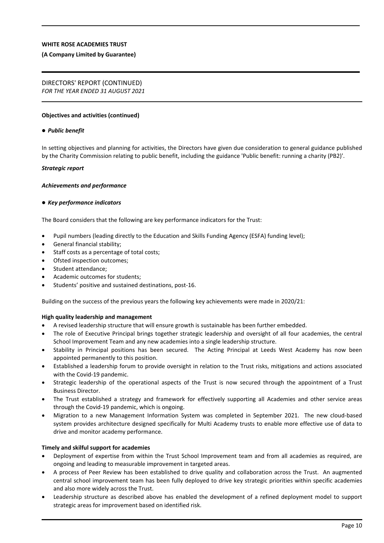#### **(A Company Limited by Guarantee)**

# DIRECTORS' REPORT (CONTINUED)

*FOR THE YEAR ENDED 31 AUGUST 2021*

#### **Objectives and activities (continued)**

#### *Public benefit*

In setting objectives and planning for activities, the Directors have given due consideration to general guidance published by the Charity Commission relating to public benefit, including the guidance 'Public benefit: running a charity (PB2)'.

#### *Strategic report*

#### *Achievements and performance*

#### *Key performance indicators*

The Board considers that the following are key performance indicators for the Trust:

- Pupil numbers (leading directly to the Education and Skills Funding Agency (ESFA) funding level);
- General financial stability;
- Staff costs as a percentage of total costs;
- Ofsted inspection outcomes;
- Student attendance;
- Academic outcomes for students;
- Students' positive and sustained destinations, post-16.

Building on the success of the previous years the following key achievements were made in 2020/21:

#### **High quality leadership and management**

- A revised leadership structure that will ensure growth is sustainable has been further embedded.
- The role of Executive Principal brings together strategic leadership and oversight of all four academies, the central School Improvement Team and any new academies into a single leadership structure.
- Stability in Principal positions has been secured. The Acting Principal at Leeds West Academy has now been appointed permanently to this position.
- Established a leadership forum to provide oversight in relation to the Trust risks, mitigations and actions associated with the Covid-19 pandemic.
- Strategic leadership of the operational aspects of the Trust is now secured through the appointment of a Trust Business Director.
- The Trust established a strategy and framework for effectively supporting all Academies and other service areas through the Covid-19 pandemic, which is ongoing.
- Migration to a new Management Information System was completed in September 2021. The new cloud-based system provides architecture designed specifically for Multi Academy trusts to enable more effective use of data to drive and monitor academy performance.

#### **Timely and skilful support for academies**

- Deployment of expertise from within the Trust School Improvement team and from all academies as required, are ongoing and leading to measurable improvement in targeted areas.
- A process of Peer Review has been established to drive quality and collaboration across the Trust. An augmented central school improvement team has been fully deployed to drive key strategic priorities within specific academies and also more widely across the Trust.
- Leadership structure as described above has enabled the development of a refined deployment model to support strategic areas for improvement based on identified risk.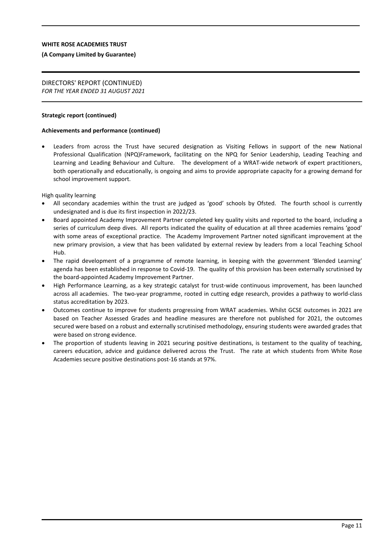#### **(A Company Limited by Guarantee)**

#### DIRECTORS' REPORT (CONTINUED) *FOR THE YEAR ENDED 31 AUGUST 2021*

#### **Strategic report (continued)**

#### **Achievements and performance (continued)**

 Leaders from across the Trust have secured designation as Visiting Fellows in support of the new National Professional Qualification (NPQ)Framework, facilitating on the NPQ for Senior Leadership, Leading Teaching and Learning and Leading Behaviour and Culture. The development of a WRAT-wide network of expert practitioners, both operationally and educationally, is ongoing and aims to provide appropriate capacity for a growing demand for school improvement support.

High quality learning

- All secondary academies within the trust are judged as 'good' schools by Ofsted. The fourth school is currently undesignated and is due its first inspection in 2022/23.
- Board appointed Academy Improvement Partner completed key quality visits and reported to the board, including a series of curriculum deep dives. All reports indicated the quality of education at all three academies remains 'good' with some areas of exceptional practice. The Academy Improvement Partner noted significant improvement at the new primary provision, a view that has been validated by external review by leaders from a local Teaching School Hub.
- The rapid development of a programme of remote learning, in keeping with the government 'Blended Learning' agenda has been established in response to Covid-19. The quality of this provision has been externally scrutinised by the board-appointed Academy Improvement Partner.
- High Performance Learning, as a key strategic catalyst for trust-wide continuous improvement, has been launched across all academies. The two-year programme, rooted in cutting edge research, provides a pathway to world-class status accreditation by 2023.
- Outcomes continue to improve for students progressing from WRAT academies. Whilst GCSE outcomes in 2021 are based on Teacher Assessed Grades and headline measures are therefore not published for 2021, the outcomes secured were based on a robust and externally scrutinised methodology, ensuring students were awarded grades that were based on strong evidence.
- The proportion of students leaving in 2021 securing positive destinations, is testament to the quality of teaching, careers education, advice and guidance delivered across the Trust. The rate at which students from White Rose Academies secure positive destinations post-16 stands at 97%.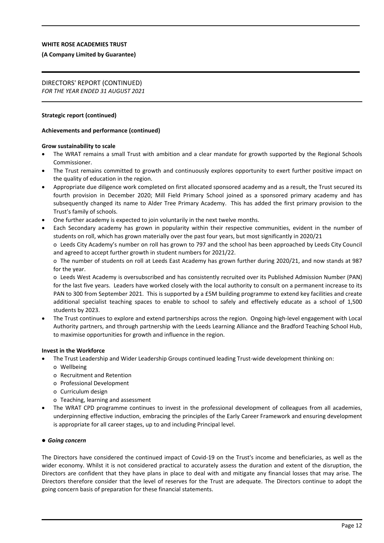#### **(A Company Limited by Guarantee)**

#### DIRECTORS' REPORT (CONTINUED) *FOR THE YEAR ENDED 31 AUGUST 2021*

#### **Strategic report (continued)**

#### **Achievements and performance (continued)**

#### **Grow sustainability to scale**

- The WRAT remains a small Trust with ambition and a clear mandate for growth supported by the Regional Schools Commissioner.
- The Trust remains committed to growth and continuously explores opportunity to exert further positive impact on the quality of education in the region.
- Appropriate due diligence work completed on first allocated sponsored academy and as a result, the Trust secured its fourth provision in December 2020; Mill Field Primary School joined as a sponsored primary academy and has subsequently changed its name to Alder Tree Primary Academy. This has added the first primary provision to the Trust's family of schools.
- One further academy is expected to join voluntarily in the next twelve months.
- Each Secondary academy has grown in popularity within their respective communities, evident in the number of students on roll, which has grown materially over the past four years, but most significantly in 2020/21 o Leeds City Academy's number on roll has grown to 797 and the school has been approached by Leeds City Council and agreed to accept further growth in student numbers for 2021/22.

o The number of students on roll at Leeds East Academy has grown further during 2020/21, and now stands at 987 for the year.

o Leeds West Academy is oversubscribed and has consistently recruited over its Published Admission Number (PAN) for the last five years. Leaders have worked closely with the local authority to consult on a permanent increase to its PAN to 300 from September 2021. This is supported by a £5M building programme to extend key facilities and create additional specialist teaching spaces to enable to school to safely and effectively educate as a school of 1,500 students by 2023.

 The Trust continues to explore and extend partnerships across the region. Ongoing high-level engagement with Local Authority partners, and through partnership with the Leeds Learning Alliance and the Bradford Teaching School Hub, to maximise opportunities for growth and influence in the region.

#### **Invest in the Workforce**

- The Trust Leadership and Wider Leadership Groups continued leading Trust-wide development thinking on:
	- o Wellbeing
	- o Recruitment and Retention
	- o Professional Development
	- o Curriculum design
	- o Teaching, learning and assessment
- The WRAT CPD programme continues to invest in the professional development of colleagues from all academies, underpinning effective induction, embracing the principles of the Early Career Framework and ensuring development is appropriate for all career stages, up to and including Principal level.

#### *Going concern*

The Directors have considered the continued impact of Covid-19 on the Trust's income and beneficiaries, as well as the wider economy. Whilst it is not considered practical to accurately assess the duration and extent of the disruption, the Directors are confident that they have plans in place to deal with and mitigate any financial losses that may arise. The Directors therefore consider that the level of reserves for the Trust are adequate. The Directors continue to adopt the going concern basis of preparation for these financial statements.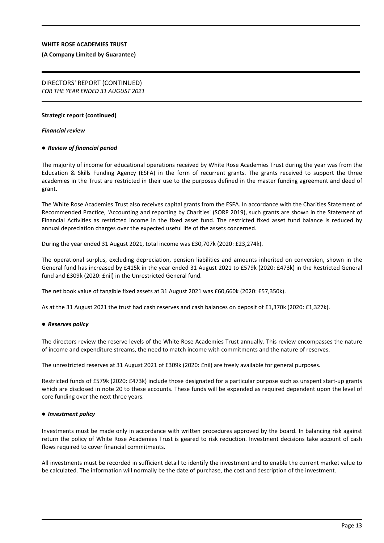#### **(A Company Limited by Guarantee)**

#### **Strategic report (continued)**

#### *Financial review*

#### *Review of financial period*

The majority of income for educational operations received by White Rose Academies Trust during the year was from the Education & Skills Funding Agency (ESFA) in the form of recurrent grants. The grants received to support the three academies in the Trust are restricted in their use to the purposes defined in the master funding agreement and deed of grant.

The White Rose Academies Trust also receives capital grants from the ESFA. In accordance with the Charities Statement of Recommended Practice, 'Accounting and reporting by Charities' (SORP 2019), such grants are shown in the Statement of Financial Activities as restricted income in the fixed asset fund. The restricted fixed asset fund balance is reduced by annual depreciation charges over the expected useful life of the assets concerned.

During the year ended 31 August 2021, total income was £30,707k (2020: £23,274k).

The operational surplus, excluding depreciation, pension liabilities and amounts inherited on conversion, shown in the General fund has increased by £415k in the year ended 31 August 2021 to £579k (2020: £473k) in the Restricted General fund and £309k (2020: £nil) in the Unrestricted General fund.

The net book value of tangible fixed assets at 31 August 2021 was £60,660k (2020: £57,350k).

As at the 31 August 2021 the trust had cash reserves and cash balances on deposit of £1,370k (2020: £1,327k).

#### *Reserves policy*

The directors review the reserve levels of the White Rose Academies Trust annually. This review encompasses the nature of income and expenditure streams, the need to match income with commitments and the nature of reserves.

The unrestricted reserves at 31 August 2021 of £309k (2020: £nil) are freely available for general purposes.

Restricted funds of £579k (2020: £473k) include those designated for a particular purpose such as unspent start-up grants which are disclosed in note 20 to these accounts. These funds will be expended as required dependent upon the level of core funding over the next three years.

#### *Investment policy*

Investments must be made only in accordance with written procedures approved by the board. In balancing risk against return the policy of White Rose Academies Trust is geared to risk reduction. Investment decisions take account of cash flows required to cover financial commitments.

All investments must be recorded in sufficient detail to identify the investment and to enable the current market value to be calculated. The information will normally be the date of purchase, the cost and description of the investment.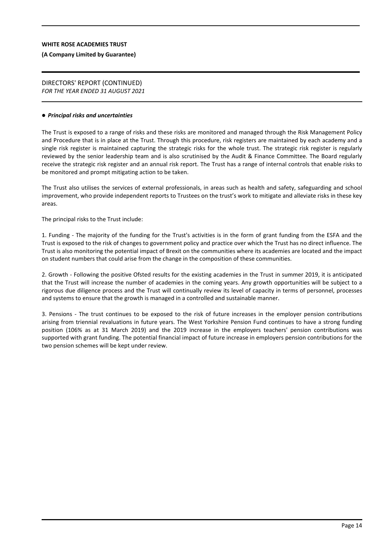#### **(A Company Limited by Guarantee)**

#### DIRECTORS' REPORT (CONTINUED) *FOR THE YEAR ENDED 31 AUGUST 2021*

#### *Principal risks and uncertainties*

The Trust is exposed to a range of risks and these risks are monitored and managed through the Risk Management Policy and Procedure that is in place at the Trust. Through this procedure, risk registers are maintained by each academy and a single risk register is maintained capturing the strategic risks for the whole trust. The strategic risk register is regularly reviewed by the senior leadership team and is also scrutinised by the Audit & Finance Committee. The Board regularly receive the strategic risk register and an annual risk report. The Trust has a range of internal controls that enable risks to be monitored and prompt mitigating action to be taken.

The Trust also utilises the services of external professionals, in areas such as health and safety, safeguarding and school improvement, who provide independent reports to Trustees on the trust's work to mitigate and alleviate risks in these key areas.

The principal risks to the Trust include:

1. Funding - The majority of the funding for the Trust's activities is in the form of grant funding from the ESFA and the Trust is exposed to the risk of changes to government policy and practice over which the Trust has no direct influence. The Trust is also monitoring the potential impact of Brexit on the communities where its academies are located and the impact on student numbers that could arise from the change in the composition of these communities.

2. Growth - Following the positive Ofsted results for the existing academies in the Trust in summer 2019, it is anticipated that the Trust will increase the number of academies in the coming years. Any growth opportunities will be subject to a rigorous due diligence process and the Trust will continually review its level of capacity in terms of personnel, processes and systems to ensure that the growth is managed in a controlled and sustainable manner.

3. Pensions - The trust continues to be exposed to the risk of future increases in the employer pension contributions arising from triennial revaluations in future years. The West Yorkshire Pension Fund continues to have a strong funding position (106% as at 31 March 2019) and the 2019 increase in the employers teachers' pension contributions was supported with grant funding. The potential financial impact of future increase in employers pension contributions for the two pension schemes will be kept under review.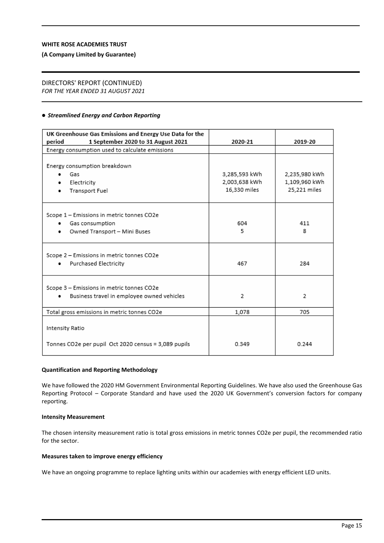#### **(A Company Limited by Guarantee)**

# DIRECTORS' REPORT (CONTINUED)

*FOR THE YEAR ENDED 31 AUGUST 2021*

#### **• Streamlined Energy and Carbon Reporting**

| UK Greenhouse Gas Emissions and Energy Use Data for the                                                |                                                |                                                |
|--------------------------------------------------------------------------------------------------------|------------------------------------------------|------------------------------------------------|
| 1 September 2020 to 31 August 2021<br>period                                                           | 2020-21                                        | 2019-20                                        |
| Energy consumption used to calculate emissions                                                         |                                                |                                                |
| Energy consumption breakdown<br>Gas<br>Electricity<br>Transport Fuel                                   | 3,285,593 kWh<br>2,003,638 kWh<br>16,330 miles | 2.235,980 kWh<br>1,109,960 kWh<br>25,221 miles |
| Scope 1 - Emissions in metric tonnes CO2e<br>Gas consumption<br>۰<br>Owned Transport - Mini Buses<br>٠ | 604<br>5                                       | 411<br>8                                       |
| Scope 2 - Emissions in metric tonnes CO2e<br>Purchased Electricity                                     | 467                                            | 284                                            |
| Scope 3 - Emissions in metric tonnes CO2e<br>Business travel in employee owned vehicles<br>٠           | 2                                              | 2                                              |
| Total gross emissions in metric tonnes CO2e                                                            | 1,078                                          | 705                                            |
| Intensity Ratio<br>Tonnes CO2e per pupil Oct 2020 census = 3,089 pupils                                | 0.349                                          | 0.244                                          |

#### **Quantification and Reporting Methodology**

We have followed the 2020 HM Government Environmental Reporting Guidelines. We have also used the Greenhouse Gas Reporting Protocol – Corporate Standard and have used the 2020 UK Government's conversion factors for company reporting.

#### **Intensity Measurement**

The chosen intensity measurement ratio is total gross emissions in metric tonnes CO2e per pupil, the recommended ratio for the sector.

#### **Measures taken to improve energy efficiency**

We have an ongoing programme to replace lighting units within our academies with energy efficient LED units.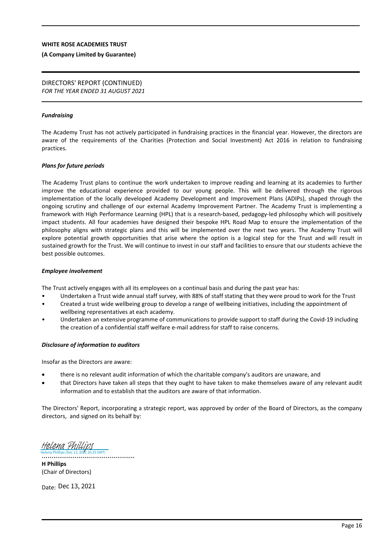#### **(A Company Limited by Guarantee)**

#### DIRECTORS' REPORT (CONTINUED) *FOR THE YEAR ENDED 31 AUGUST 2021*

#### *Fundraising*

The Academy Trust has not actively participated in fundraising practices in the financial year. However, the directors are aware of the requirements of the Charities (Protection and Social Investment) Act 2016 in relation to fundraising practices.

#### *Plans for future periods*

The Academy Trust plans to continue the work undertaken to improve reading and learning at its academies to further improve the educational experience provided to our young people. This will be delivered through the rigorous implementation of the locally developed Academy Development and Improvement Plans (ADIPs), shaped through the ongoing scrutiny and challenge of our external Academy Improvement Partner. The Academy Trust is implementing a framework with High Performance Learning (HPL) that is a research-based, pedagogy-led philosophy which will positively impact students. All four academies have designed their bespoke HPL Road Map to ensure the implementation of the philosophy aligns with strategic plans and this will be implemented over the next two years. The Academy Trust will explore potential growth opportunities that arise where the option is a logical step for the Trust and will result in sustained growth for the Trust. We will continue to invest in our staff and facilities to ensure that our students achieve the best possible outcomes.

#### *Employee involvement*

The Trust actively engages with all its employees on a continual basis and during the past year has:

- Undertaken a Trust wide annual staff survey, with 88% of staff stating that they were proud to work for the Trust
- Created a trust wide wellbeing group to develop a range of wellbeing initiatives, including the appointment of wellbeing representatives at each academy.
- Undertaken an extensive programme of communications to provide support to staff during the Covid-19 including the creation of a confidential staff welfare e-mail address for staff to raise concerns.

#### *Disclosure of information to auditors*

Insofar as the Directors are aware:

- there is no relevant audit information of which the charitable company's auditors are unaware, and
- that Directors have taken all steps that they ought to have taken to make themselves aware of any relevant audit information and to establish that the auditors are aware of that information.

The Directors' Report, incorporating a strategic report, was approved by order of the Board of Directors, as the company directors, and signed on its behalf by:

................................................ [Helena Phillips](https://eu1.documents.adobe.com/verifier?tx=CBJCHBCAABAAWfX6lVNyshcH8p2xAet-DSGSNjA1aZo6) (Dec 13, 2021 20:25 GMT)

**H Phillips** (Chair of Directors)

Date: Dec 13, 2021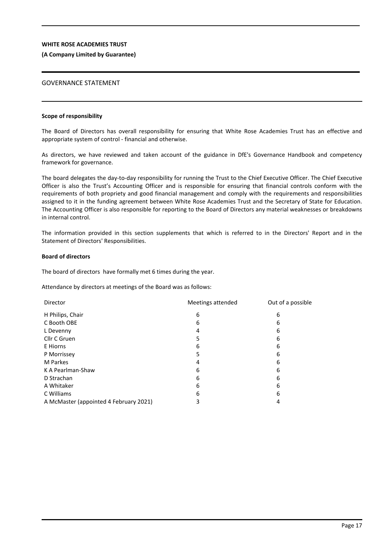### **(A Company Limited by Guarantee)**

## GOVERNANCE STATEMENT

#### **Scope of responsibility**

The Board of Directors has overall responsibility for ensuring that White Rose Academies Trust has an effective and appropriate system of control - financial and otherwise.

As directors, we have reviewed and taken account of the guidance in DfE's Governance Handbook and competency framework for governance.

The board delegates the day-to-day responsibility for running the Trust to the Chief Executive Officer. The Chief Executive Officer is also the Trust's Accounting Officer and is responsible for ensuring that financial controls conform with the requirements of both propriety and good financial management and comply with the requirements and responsibilities assigned to it in the funding agreement between White Rose Academies Trust and the Secretary of State for Education. The Accounting Officer is also responsible for reporting to the Board of Directors any material weaknesses or breakdowns in internal control.

The information provided in this section supplements that which is referred to in the Directors' Report and in the Statement of Directors' Responsibilities.

#### **Board of directors**

The board of directors have formally met 6 times during the year.

Attendance by directors at meetings of the Board was as follows:

| Director                               | Meetings attended | Out of a possible |
|----------------------------------------|-------------------|-------------------|
| H Philips, Chair                       | 6                 | 6                 |
| C Booth OBE                            | 6                 | 6                 |
| L Devenny                              | 4                 | 6                 |
| Cllr C Gruen                           | 5                 | 6                 |
| E Hiorns                               | 6                 | 6                 |
| P Morrissey                            | 5                 | 6                 |
| M Parkes                               | 4                 | 6                 |
| K A Pearlman-Shaw                      | 6                 | 6                 |
| D Strachan                             | 6                 | 6                 |
| A Whitaker                             | 6                 | 6                 |
| C Williams                             | 6                 | 6                 |
| A McMaster (appointed 4 February 2021) | 3                 | 4                 |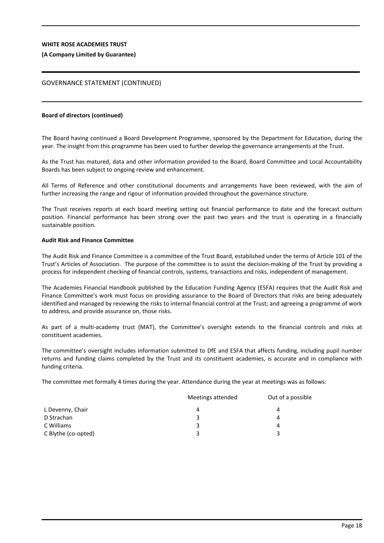#### **(A Company Limited by Guarantee)**

## GOVERNANCE STATEMENT (CONTINUED)

#### **Board of directors (continued)**

The Board having continued a Board Development Programme, sponsored by the Department for Education, during the year. The insight from this programme has been used to further develop the governance arrangements at the Trust.

As the Trust has matured, data and other information provided to the Board, Board Committee and Local Accountability Boards has been subject to ongoing review and enhancement.

All Terms of Reference and other constitutional documents and arrangements have been reviewed, with the aim of further increasing the range and rigour of information provided throughout the governance structure.

The Trust receives reports at each board meeting setting out financial performance to date and the forecast outturn position. Financial performance has been strong over the past two years and the trust is operating in a financially sustainable position.

#### **Audit Risk and Finance Committee**

The Audit Risk and Finance Committee is a committee of the Trust Board, established under the terms of Article 101 of the Trust's Articles of Association. The purpose of the committee is to assist the decision-making of the Trust by providing a process for independent checking of financial controls, systems, transactions and risks, independent of management.

The Academies Financial Handbook published by the Education Funding Agency (ESFA) requires that the Audit Risk and Finance Committee's work must focus on providing assurance to the Board of Directors that risks are being adequately identified and managed by reviewing the risks to internal financial control at the Trust; and agreeing a programme of work to address, and provide assurance on, those risks.

As part of a multi-academy trust (MAT), the Committee's oversight extends to the financial controls and risks at constituent academies.

The committee's oversight includes information submitted to DfE and ESFA that affects funding, including pupil number returns and funding claims completed by the Trust and its constituent academies, is accurate and in compliance with funding criteria.

The committee met formally 4 times during the year. Attendance during the year at meetings was as follows:

|                     | Meetings attended | Out of a possible |  |
|---------------------|-------------------|-------------------|--|
| L Devenny, Chair    | 4                 | 4                 |  |
| D Strachan          | 3                 | 4                 |  |
| C Williams          | 3                 | 4                 |  |
| C Blythe (co-opted) | 3                 |                   |  |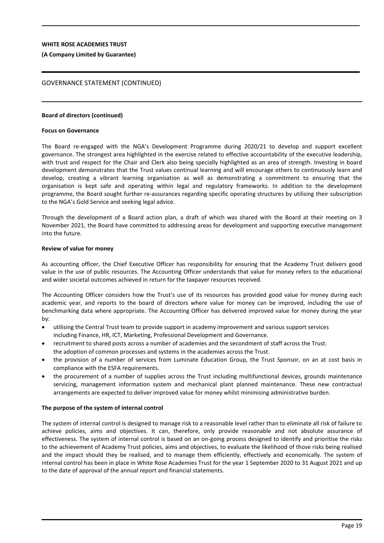#### **(A Company Limited by Guarantee)**

## GOVERNANCE STATEMENT (CONTINUED)

#### **Board of directors (continued)**

#### **Focus on Governance**

The Board re-engaged with the NGA's Development Programme during 2020/21 to develop and support excellent governance. The strongest area highlighted in the exercise related to effective accountability of the executive leadership, with trust and respect for the Chair and Clerk also being specially highlighted as an area of strength. Investing in board development demonstrates that the Trust values continual learning and will encourage others to continuously learn and develop, creating a vibrant learning organisation as well as demonstrating a commitment to ensuring that the organisation is kept safe and operating within legal and regulatory frameworks. In addition to the development programme, the Board sought further re-assurances regarding specific operating structures by utilising their subscription to the NGA's Gold Service and seeking legal advice.

Through the development of a Board action plan, a draft of which was shared with the Board at their meeting on 3 November 2021, the Board have committed to addressing areas for development and supporting executive management into the future.

#### **Review of value for money**

As accounting officer, the Chief Executive Officer has responsibility for ensuring that the Academy Trust delivers good value in the use of public resources. The Accounting Officer understands that value for money refers to the educational and wider societal outcomes achieved in return for the taxpayer resources received.

The Accounting Officer considers how the Trust's use of its resources has provided good value for money during each academic year, and reports to the board of directors where value for money can be improved, including the use of benchmarking data where appropriate. The Accounting Officer has delivered improved value for money during the year by:

- utilising the Central Trust team to provide support in academy improvement and various support services including Finance, HR, ICT, Marketing, Professional Development and Governance.
- recruitment to shared posts across a number of academies and the secondment of staff across the Trust. the adoption of common processes and systems in the academies across the Trust.
- the provision of a number of services from Luminate Education Group, the Trust Sponsor, on an at cost basis in compliance with the ESFA requirements.
- the procurement of a number of supplies across the Trust including multifunctional devices, grounds maintenance servicing, management information system and mechanical plant planned maintenance. These new contractual arrangements are expected to deliver improved value for money whilst minimising administrative burden.

#### **The purpose of the system of internal control**

The system of internal control is designed to manage risk to a reasonable level rather than to eliminate all risk of failure to achieve policies, aims and objectives. It can, therefore, only provide reasonable and not absolute assurance of effectiveness. The system of internal control is based on an on-going process designed to identify and prioritise the risks to the achievement of Academy Trust policies, aims and objectives, to evaluate the likelihood of those risks being realised and the impact should they be realised, and to manage them efficiently, effectively and economically. The system of internal control has been in place in White Rose Academies Trust for the year 1 September 2020 to 31 August 2021 and up to the date of approval of the annual report and financial statements.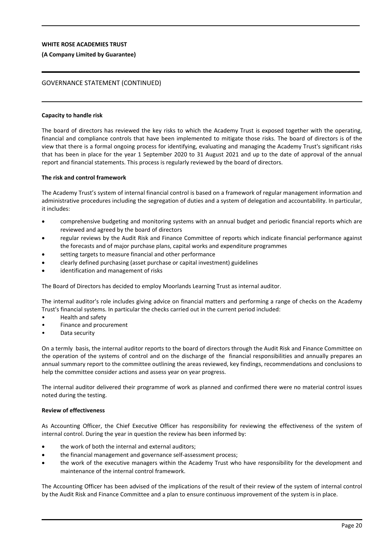#### **(A Company Limited by Guarantee)**

## GOVERNANCE STATEMENT (CONTINUED)

#### **Capacity to handle risk**

The board of directors has reviewed the key risks to which the Academy Trust is exposed together with the operating, financial and compliance controls that have been implemented to mitigate those risks. The board of directors is of the view that there is a formal ongoing process for identifying, evaluating and managing the Academy Trust's significant risks that has been in place for the year 1 September 2020 to 31 August 2021 and up to the date of approval of the annual report and financial statements. This process is regularly reviewed by the board of directors.

#### **The risk and control framework**

The Academy Trust's system of internal financial control is based on a framework of regular management information and administrative procedures including the segregation of duties and a system of delegation and accountability. In particular, it includes:

- comprehensive budgeting and monitoring systems with an annual budget and periodic financial reports which are reviewed and agreed by the board of directors
- regular reviews by the Audit Risk and Finance Committee of reports which indicate financial performance against the forecasts and of major purchase plans, capital works and expenditure programmes
- setting targets to measure financial and other performance
- clearly defined purchasing (asset purchase or capital investment) guidelines
- identification and management of risks

The Board of Directors has decided to employ Moorlands Learning Trust as internal auditor.

The internal auditor's role includes giving advice on financial matters and performing a range of checks on the Academy Trust's financial systems. In particular the checks carried out in the current period included:

- Health and safety
- Finance and procurement
- Data security

On a termly basis, the internal auditor reports to the board of directors through the Audit Risk and Finance Committee on the operation of the systems of control and on the discharge of the financial responsibilities and annually prepares an annual summary report to the committee outlining the areas reviewed, key findings, recommendations and conclusions to help the committee consider actions and assess year on year progress.

The internal auditor delivered their programme of work as planned and confirmed there were no material control issues noted during the testing.

#### **Review of effectiveness**

As Accounting Officer, the Chief Executive Officer has responsibility for reviewing the effectiveness of the system of internal control. During the year in question the review has been informed by:

- the work of both the internal and external auditors;
- the financial management and governance self-assessment process;
- the work of the executive managers within the Academy Trust who have responsibility for the development and maintenance of the internal control framework.

The Accounting Officer has been advised of the implications of the result of their review of the system of internal control by the Audit Risk and Finance Committee and a plan to ensure continuous improvement of the system is in place.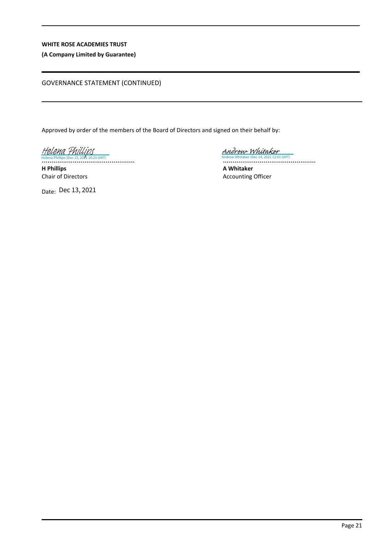## **(A Company Limited by Guarantee)**

## GOVERNANCE STATEMENT (CONTINUED)

Approved by order of the members of the Board of Directors and signed on their behalf by:

................................................ Helena Phillips (Dec 13, 2021 20:25 GMT) [Helena Phillips](https://eu1.documents.adobe.com/verifier?tx=CBJCHBCAABAAWfX6lVNyshcH8p2xAet-DSGSNjA1aZo6)

**H Phillips** Chair of Directors

Date: Dec 13, 2021

................................................ Andrew Whitaker (Dec 14, 2021 12:01 GMT) [Andrew Whitaker](https://eu1.documents.adobe.com/verifier?tx=CBJCHBCAABAAWfX6lVNyshcH8p2xAet-DSGSNjA1aZo6)

**A Whitaker** Accounting Officer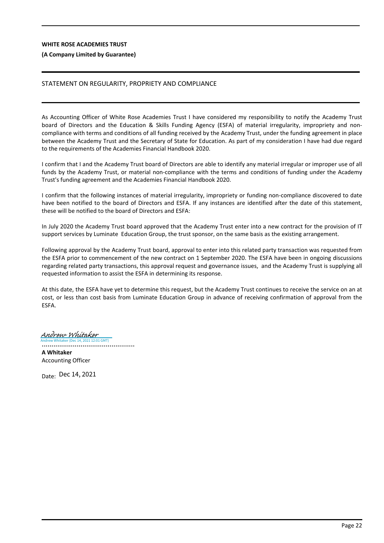#### **(A Company Limited by Guarantee)**

## STATEMENT ON REGULARITY, PROPRIETY AND COMPLIANCE

As Accounting Officer of White Rose Academies Trust I have considered my responsibility to notify the Academy Trust board of Directors and the Education & Skills Funding Agency (ESFA) of material irregularity, impropriety and noncompliance with terms and conditions of all funding received by the Academy Trust, under the funding agreement in place between the Academy Trust and the Secretary of State for Education. As part of my consideration I have had due regard to the requirements of the Academies Financial Handbook 2020.

I confirm that I and the Academy Trust board of Directors are able to identify any material irregular or improper use of all funds by the Academy Trust, or material non-compliance with the terms and conditions of funding under the Academy Trust's funding agreement and the Academies Financial Handbook 2020.

I confirm that the following instances of material irregularity, impropriety or funding non-compliance discovered to date have been notified to the board of Directors and ESFA. If any instances are identified after the date of this statement, these will be notified to the board of Directors and ESFA:

In July 2020 the Academy Trust board approved that the Academy Trust enter into a new contract for the provision of IT support services by Luminate Education Group, the trust sponsor, on the same basis as the existing arrangement.

Following approval by the Academy Trust board, approval to enter into this related party transaction was requested from the ESFA prior to commencement of the new contract on 1 September 2020. The ESFA have been in ongoing discussions regarding related party transactions, this approval request and governance issues, and the Academy Trust is supplying all requested information to assist the ESFA in determining its response.

At this date, the ESFA have yet to determine this request, but the Academy Trust continues to receive the service on an at cost, or less than cost basis from Luminate Education Group in advance of receiving confirmation of approval from the ESFA.

Andrew Whitaker (Dec 14, 2021 12:01 GMT) [Andrew Whitaker](https://eu1.documents.adobe.com/verifier?tx=CBJCHBCAABAAWfX6lVNyshcH8p2xAet-DSGSNjA1aZo6)

................................................

**A Whitaker** Accounting Officer

Date: Dec 14, 2021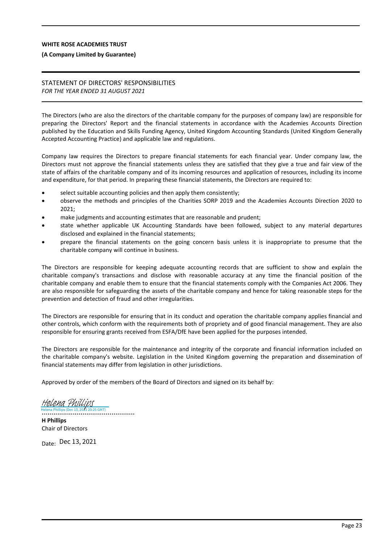#### **(A Company Limited by Guarantee)**

## STATEMENT OF DIRECTORS' RESPONSIBILITIES *FOR THE YEAR ENDED 31 AUGUST 2021*

The Directors (who are also the directors of the charitable company for the purposes of company law) are responsible for preparing the Directors' Report and the financial statements in accordance with the Academies Accounts Direction published by the Education and Skills Funding Agency, United Kingdom Accounting Standards (United Kingdom Generally Accepted Accounting Practice) and applicable law and regulations.

Company law requires the Directors to prepare financial statements for each financial year. Under company law, the Directors must not approve the financial statements unless they are satisfied that they give a true and fair view of the state of affairs of the charitable company and of its incoming resources and application of resources, including its income and expenditure, for that period. In preparing these financial statements, the Directors are required to:

- select suitable accounting policies and then apply them consistently;
- observe the methods and principles of the Charities SORP 2019 and the Academies Accounts Direction 2020 to 2021;
- make judgments and accounting estimates that are reasonable and prudent;
- state whether applicable UK Accounting Standards have been followed, subject to any material departures disclosed and explained in the financial statements;
- prepare the financial statements on the going concern basis unless it is inappropriate to presume that the charitable company will continue in business.

The Directors are responsible for keeping adequate accounting records that are sufficient to show and explain the charitable company's transactions and disclose with reasonable accuracy at any time the financial position of the charitable company and enable them to ensure that the financial statements comply with the Companies Act 2006. They are also responsible for safeguarding the assets of the charitable company and hence for taking reasonable steps for the prevention and detection of fraud and other irregularities.

The Directors are responsible for ensuring that in its conduct and operation the charitable company applies financial and other controls, which conform with the requirements both of propriety and of good financial management. They are also responsible for ensuring grants received from ESFA/DfE have been applied for the purposes intended.

The Directors are responsible for the maintenance and integrity of the corporate and financial information included on the charitable company's website. Legislation in the United Kingdom governing the preparation and dissemination of financial statements may differ from legislation in other jurisdictions.

Approved by order of the members of the Board of Directors and signed on its behalf by:

................................................ Helena Phillips (Dec 13, 2021 20:25 GMT) [Helena Phillips](https://eu1.documents.adobe.com/verifier?tx=CBJCHBCAABAAWfX6lVNyshcH8p2xAet-DSGSNjA1aZo6)

**H Phillips** Chair of Directors

Date: Dec 13, 2021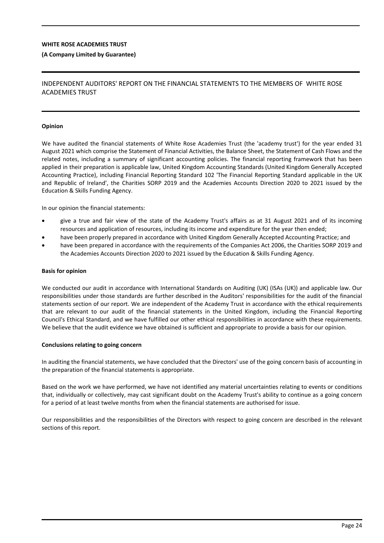#### **(A Company Limited by Guarantee)**

## INDEPENDENT AUDITORS' REPORT ON THE FINANCIAL STATEMENTS TO THE MEMBERS OF WHITE ROSE ACADEMIES TRUST

#### **Opinion**

We have audited the financial statements of White Rose Academies Trust (the 'academy trust') for the year ended 31 August 2021 which comprise the Statement of Financial Activities, the Balance Sheet, the Statement of Cash Flows and the related notes, including a summary of significant accounting policies. The financial reporting framework that has been applied in their preparation is applicable law, United Kingdom Accounting Standards (United Kingdom Generally Accepted Accounting Practice), including Financial Reporting Standard 102 'The Financial Reporting Standard applicable in the UK and Republic of Ireland', the Charities SORP 2019 and the Academies Accounts Direction 2020 to 2021 issued by the Education & Skills Funding Agency.

In our opinion the financial statements:

- give a true and fair view of the state of the Academy Trust's affairs as at 31 August 2021 and of its incoming resources and application of resources, including its income and expenditure for the year then ended;
- have been properly prepared in accordance with United Kingdom Generally Accepted Accounting Practice; and
- have been prepared in accordance with the requirements of the Companies Act 2006, the Charities SORP 2019 and the Academies Accounts Direction 2020 to 2021 issued by the Education & Skills Funding Agency.

#### **Basis for opinion**

We conducted our audit in accordance with International Standards on Auditing (UK) (ISAs (UK)) and applicable law. Our responsibilities under those standards are further described in the Auditors' responsibilities for the audit of the financial statements section of our report. We are independent of the Academy Trust in accordance with the ethical requirements that are relevant to our audit of the financial statements in the United Kingdom, including the Financial Reporting Council's Ethical Standard, and we have fulfilled our other ethical responsibilities in accordance with these requirements. We believe that the audit evidence we have obtained is sufficient and appropriate to provide a basis for our opinion.

#### **Conclusions relating to going concern**

In auditing the financial statements, we have concluded that the Directors' use of the going concern basis of accounting in the preparation of the financial statements is appropriate.

Based on the work we have performed, we have not identified any material uncertainties relating to events or conditions that, individually or collectively, may cast significant doubt on the Academy Trust's ability to continue as a going concern for a period of at least twelve months from when the financial statements are authorised for issue.

Our responsibilities and the responsibilities of the Directors with respect to going concern are described in the relevant sections of this report.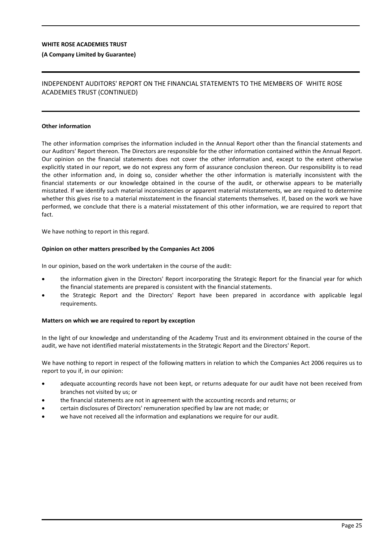#### **(A Company Limited by Guarantee)**

## INDEPENDENT AUDITORS' REPORT ON THE FINANCIAL STATEMENTS TO THE MEMBERS OF WHITE ROSE ACADEMIES TRUST (CONTINUED)

#### **Other information**

The other information comprises the information included in the Annual Report other than the financial statements and our Auditors' Report thereon. The Directors are responsible for the other information contained within the Annual Report. Our opinion on the financial statements does not cover the other information and, except to the extent otherwise explicitly stated in our report, we do not express any form of assurance conclusion thereon. Our responsibility is to read the other information and, in doing so, consider whether the other information is materially inconsistent with the financial statements or our knowledge obtained in the course of the audit, or otherwise appears to be materially misstated. If we identify such material inconsistencies or apparent material misstatements, we are required to determine whether this gives rise to a material misstatement in the financial statements themselves. If, based on the work we have performed, we conclude that there is a material misstatement of this other information, we are required to report that fact.

We have nothing to report in this regard.

#### **Opinion on other matters prescribed by the Companies Act 2006**

In our opinion, based on the work undertaken in the course of the audit:

- the information given in the Directors' Report incorporating the Strategic Report for the financial year for which the financial statements are prepared is consistent with the financial statements.
- the Strategic Report and the Directors' Report have been prepared in accordance with applicable legal requirements.

#### **Matters on which we are required to report by exception**

In the light of our knowledge and understanding of the Academy Trust and its environment obtained in the course of the audit, we have not identified material misstatements in the Strategic Report and the Directors' Report.

We have nothing to report in respect of the following matters in relation to which the Companies Act 2006 requires us to report to you if, in our opinion:

- adequate accounting records have not been kept, or returns adequate for our audit have not been received from branches not visited by us; or
- the financial statements are not in agreement with the accounting records and returns; or
- certain disclosures of Directors' remuneration specified by law are not made; or
- we have not received all the information and explanations we require for our audit.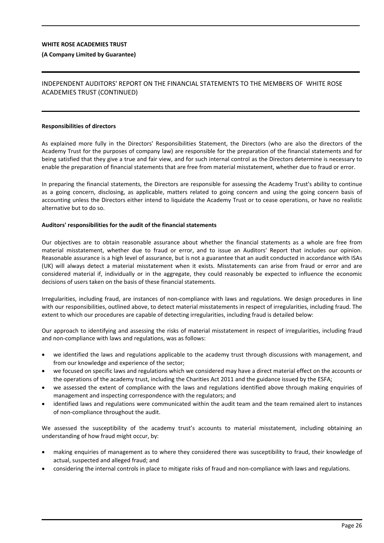#### **(A Company Limited by Guarantee)**

## INDEPENDENT AUDITORS' REPORT ON THE FINANCIAL STATEMENTS TO THE MEMBERS OF WHITE ROSE ACADEMIES TRUST (CONTINUED)

#### **Responsibilities of directors**

As explained more fully in the Directors' Responsibilities Statement, the Directors (who are also the directors of the Academy Trust for the purposes of company law) are responsible for the preparation of the financial statements and for being satisfied that they give a true and fair view, and for such internal control as the Directors determine is necessary to enable the preparation of financial statements that are free from material misstatement, whether due to fraud or error.

In preparing the financial statements, the Directors are responsible for assessing the Academy Trust's ability to continue as a going concern, disclosing, as applicable, matters related to going concern and using the going concern basis of accounting unless the Directors either intend to liquidate the Academy Trust or to cease operations, or have no realistic alternative but to do so.

#### **Auditors' responsibilities for the audit of the financial statements**

Our objectives are to obtain reasonable assurance about whether the financial statements as a whole are free from material misstatement, whether due to fraud or error, and to issue an Auditors' Report that includes our opinion. Reasonable assurance is a high level of assurance, but is not a guarantee that an audit conducted in accordance with ISAs (UK) will always detect a material misstatement when it exists. Misstatements can arise from fraud or error and are considered material if, individually or in the aggregate, they could reasonably be expected to influence the economic decisions of users taken on the basis of these financial statements.

Irregularities, including fraud, are instances of non-compliance with laws and regulations. We design procedures in line with our responsibilities, outlined above, to detect material misstatements in respect of irregularities, including fraud. The extent to which our procedures are capable of detecting irregularities, including fraud is detailed below:

Our approach to identifying and assessing the risks of material misstatement in respect of irregularities, including fraud and non-compliance with laws and regulations, was as follows:

- we identified the laws and regulations applicable to the academy trust through discussions with management, and from our knowledge and experience of the sector;
- we focused on specific laws and regulations which we considered may have a direct material effect on the accounts or the operations of the academy trust, including the Charities Act 2011 and the guidance issued by the ESFA;
- we assessed the extent of compliance with the laws and regulations identified above through making enquiries of management and inspecting correspondence with the regulators; and
- identified laws and regulations were communicated within the audit team and the team remained alert to instances of non-compliance throughout the audit.

We assessed the susceptibility of the academy trust's accounts to material misstatement, including obtaining an understanding of how fraud might occur, by:

- making enquiries of management as to where they considered there was susceptibility to fraud, their knowledge of actual, suspected and alleged fraud; and
- considering the internal controls in place to mitigate risks of fraud and non-compliance with laws and regulations.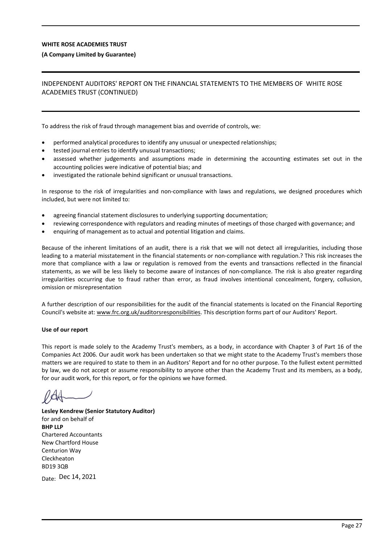#### **(A Company Limited by Guarantee)**

## INDEPENDENT AUDITORS' REPORT ON THE FINANCIAL STATEMENTS TO THE MEMBERS OF WHITE ROSE ACADEMIES TRUST (CONTINUED)

To address the risk of fraud through management bias and override of controls, we:

- performed analytical procedures to identify any unusual or unexpected relationships;
- tested journal entries to identify unusual transactions;
- assessed whether judgements and assumptions made in determining the accounting estimates set out in the accounting policies were indicative of potential bias; and
- investigated the rationale behind significant or unusual transactions.

In response to the risk of irregularities and non-compliance with laws and regulations, we designed procedures which included, but were not limited to:

- agreeing financial statement disclosures to underlying supporting documentation;
- reviewing correspondence with regulators and reading minutes of meetings of those charged with governance; and
- enquiring of management as to actual and potential litigation and claims.

Because of the inherent limitations of an audit, there is a risk that we will not detect all irregularities, including those leading to a material misstatement in the financial statements or non-compliance with regulation.? This risk increases the more that compliance with a law or regulation is removed from the events and transactions reflected in the financial statements, as we will be less likely to become aware of instances of non-compliance. The risk is also greater regarding irregularities occurring due to fraud rather than error, as fraud involves intentional concealment, forgery, collusion, omission or misrepresentation

A further description of our responsibilities for the audit of the financial statements is located on the Financial Reporting Council's website at: www.frc.org.uk/auditorsresponsibilities. This description forms part of our Auditors' Report.

#### **Use of our report**

This report is made solely to the Academy Trust's members, as a body, in accordance with Chapter 3 of Part 16 of the Companies Act 2006. Our audit work has been undertaken so that we might state to the Academy Trust's members those matters we are required to state to them in an Auditors' Report and for no other purpose. To the fullest extent permitted by law, we do not accept or assume responsibility to anyone other than the Academy Trust and its members, as a body, for our audit work, for this report, or for the opinions we have formed.

**Lesley Kendrew (Senior Statutory Auditor)** for and on behalf of **BHP LLP** Chartered Accountants New Chartford House Centurion Way Cleckheaton BD19 3QB

Date: Dec 14, 2021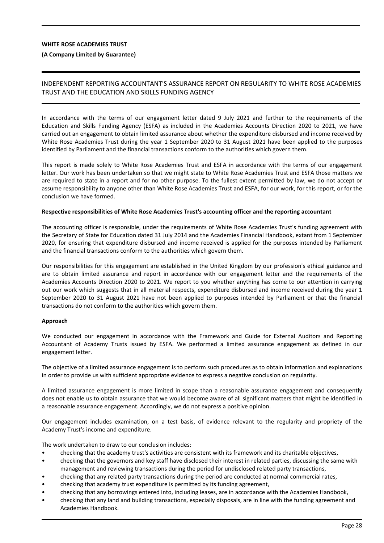#### **(A Company Limited by Guarantee)**

## INDEPENDENT REPORTING ACCOUNTANT'S ASSURANCE REPORT ON REGULARITY TO WHITE ROSE ACADEMIES TRUST AND THE EDUCATION AND SKILLS FUNDING AGENCY

In accordance with the terms of our engagement letter dated 9 July 2021 and further to the requirements of the Education and Skills Funding Agency (ESFA) as included in the Academies Accounts Direction 2020 to 2021, we have carried out an engagement to obtain limited assurance about whether the expenditure disbursed and income received by White Rose Academies Trust during the year 1 September 2020 to 31 August 2021 have been applied to the purposes identified by Parliament and the financial transactions conform to the authorities which govern them.

This report is made solely to White Rose Academies Trust and ESFA in accordance with the terms of our engagement letter. Our work has been undertaken so that we might state to White Rose Academies Trust and ESFA those matters we are required to state in a report and for no other purpose. To the fullest extent permitted by law, we do not accept or assume responsibility to anyone other than White Rose Academies Trust and ESFA, for our work, for this report, or for the conclusion we have formed.

#### **Respective responsibilities of White Rose Academies Trust's accounting officer and the reporting accountant**

The accounting officer is responsible, under the requirements of White Rose Academies Trust's funding agreement with the Secretary of State for Education dated 31 July 2014 and the Academies Financial Handbook, extant from 1 September 2020, for ensuring that expenditure disbursed and income received is applied for the purposes intended by Parliament and the financial transactions conform to the authorities which govern them.

Our responsibilities for this engagement are established in the United Kingdom by our profession's ethical guidance and are to obtain limited assurance and report in accordance with our engagement letter and the requirements of the Academies Accounts Direction 2020 to 2021. We report to you whether anything has come to our attention in carrying out our work which suggests that in all material respects, expenditure disbursed and income received during the year 1 September 2020 to 31 August 2021 have not been applied to purposes intended by Parliament or that the financial transactions do not conform to the authorities which govern them.

#### **Approach**

We conducted our engagement in accordance with the Framework and Guide for External Auditors and Reporting Accountant of Academy Trusts issued by ESFA. We performed a limited assurance engagement as defined in our engagement letter.

The objective of a limited assurance engagement is to perform such procedures as to obtain information and explanations in order to provide us with sufficient appropriate evidence to express a negative conclusion on regularity.

A limited assurance engagement is more limited in scope than a reasonable assurance engagement and consequently does not enable us to obtain assurance that we would become aware of all significant matters that might be identified in a reasonable assurance engagement. Accordingly, we do not express a positive opinion.

Our engagement includes examination, on a test basis, of evidence relevant to the regularity and propriety of the Academy Trust's income and expenditure.

The work undertaken to draw to our conclusion includes:

- checking that the academy trust's activities are consistent with its framework and its charitable objectives,
- checking that the governors and key staff have disclosed their interest in related parties, discussing the same with management and reviewing transactions during the period for undisclosed related party transactions,
- checking that any related party transactions during the period are conducted at normal commercial rates,
- checking that academy trust expenditure is permitted by its funding agreement,
- checking that any borrowings entered into, including leases, are in accordance with the Academies Handbook,
- checking that any land and building transactions, especially disposals, are in line with the funding agreement and Academies Handbook.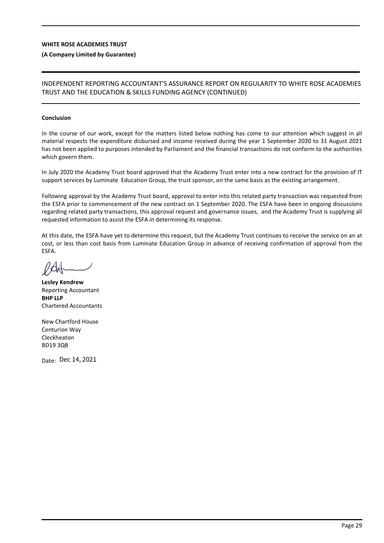#### **(A Company Limited by Guarantee)**

## INDEPENDENT REPORTING ACCOUNTANT'S ASSURANCE REPORT ON REGULARITY TO WHITE ROSE ACADEMIES TRUST AND THE EDUCATION & SKILLS FUNDING AGENCY (CONTINUED)

#### **Conclusion**

In the course of our work, except for the matters listed below nothing has come to our attention which suggest in all material respects the expenditure disbursed and income received during the year 1 September 2020 to 31 August 2021 has not been applied to purposes intended by Parliament and the financial transactions do not conform to the authorities which govern them.

In July 2020 the Academy Trust board approved that the Academy Trust enter into a new contract for the provision of IT support services by Luminate Education Group, the trust sponsor, on the same basis as the existing arrangement.

Following approval by the Academy Trust board, approval to enter into this related party transaction was requested from the ESFA prior to commencement of the new contract on 1 September 2020. The ESFA have been in ongoing discussions regarding related party transactions, this approval request and governance issues, and the Academy Trust is supplying all requested information to assist the ESFA in determining its response.

At this date, the ESFA have yet to determine this request, but the Academy Trust continues to receive the service on an at cost, or less than cost basis from Luminate Education Group in advance of receiving confirmation of approval from the ESFA.

**Lesley Kendrew** Reporting Accountant **BHP LLP** Chartered Accountants

New Chartford House Centurion Way Cleckheaton BD19 3QB

Date: Dec 14, 2021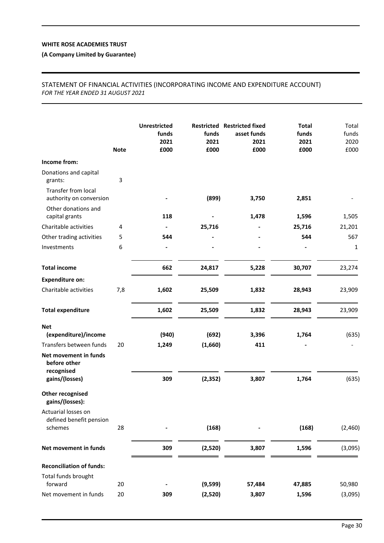## **(A Company Limited by Guarantee)**

## STATEMENT OF FINANCIAL ACTIVITIES (INCORPORATING INCOME AND EXPENDITURE ACCOUNT) *FOR THE YEAR ENDED 31 AUGUST 2021*

|                                                     | <b>Note</b> | <b>Unrestricted</b><br>funds<br>2021<br>£000 | funds<br>2021<br>£000 | <b>Restricted Restricted fixed</b><br>asset funds<br>2021<br>£000 | <b>Total</b><br>funds<br>2021<br>£000 | Total<br>funds<br>2020<br>£000 |
|-----------------------------------------------------|-------------|----------------------------------------------|-----------------------|-------------------------------------------------------------------|---------------------------------------|--------------------------------|
| Income from:                                        |             |                                              |                       |                                                                   |                                       |                                |
| Donations and capital<br>grants:                    | 3           |                                              |                       |                                                                   |                                       |                                |
| Transfer from local<br>authority on conversion      |             |                                              | (899)                 | 3,750                                                             | 2,851                                 |                                |
| Other donations and<br>capital grants               |             | 118                                          |                       | 1,478                                                             | 1,596                                 | 1,505                          |
| Charitable activities                               | 4           |                                              | 25,716                |                                                                   | 25,716                                | 21,201                         |
| Other trading activities                            | 5           | 544                                          |                       |                                                                   | 544                                   | 567                            |
| Investments                                         | 6           |                                              |                       |                                                                   |                                       | 1                              |
| <b>Total income</b>                                 |             | 662                                          | 24,817                | 5,228                                                             | 30,707                                | 23,274                         |
| <b>Expenditure on:</b>                              |             |                                              |                       |                                                                   |                                       |                                |
| Charitable activities                               | 7,8         | 1,602                                        | 25,509                | 1,832                                                             | 28,943                                | 23,909                         |
| <b>Total expenditure</b>                            |             | 1,602                                        | 25,509                | 1,832                                                             | 28,943                                | 23,909                         |
| <b>Net</b><br>(expenditure)/income                  |             | (940)                                        | (692)                 | 3,396                                                             | 1,764                                 | (635)                          |
| Transfers between funds                             | 20          | 1,249                                        | (1,660)               | 411                                                               |                                       |                                |
| Net movement in funds<br>before other<br>recognised |             |                                              |                       |                                                                   |                                       |                                |
| gains/(losses)                                      |             | 309                                          | (2, 352)              | 3,807                                                             | 1,764                                 | (635)                          |
| <b>Other recognised</b><br>gains/(losses):          |             |                                              |                       |                                                                   |                                       |                                |
| Actuarial losses on<br>defined benefit pension      |             |                                              |                       |                                                                   |                                       |                                |
| schemes                                             | 28          |                                              | (168)                 |                                                                   | (168)                                 | (2,460)                        |
| Net movement in funds                               |             | 309                                          | (2,520)               | 3,807                                                             | 1,596                                 | (3,095)                        |
| <b>Reconciliation of funds:</b>                     |             |                                              |                       |                                                                   |                                       |                                |
| Total funds brought<br>forward                      | 20          |                                              | (9,599)               | 57,484                                                            | 47,885                                | 50,980                         |
| Net movement in funds                               | 20          | 309                                          | (2,520)               | 3,807                                                             | 1,596                                 | (3,095)                        |
|                                                     |             |                                              |                       |                                                                   |                                       |                                |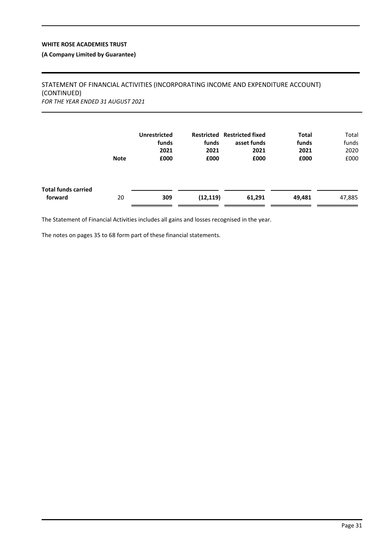## **(A Company Limited by Guarantee)**

## STATEMENT OF FINANCIAL ACTIVITIES (INCORPORATING INCOME AND EXPENDITURE ACCOUNT) (CONTINUED) *FOR THE YEAR ENDED 31 AUGUST 2021*

|                                       | <b>Note</b> | <b>Unrestricted</b><br>funds<br>2021<br>£000 | funds<br>2021<br>£000 | Restricted Restricted fixed<br>asset funds<br>2021<br>£000 | <b>Total</b><br>funds<br>2021<br>£000 | Total<br>funds<br>2020<br>£000 |
|---------------------------------------|-------------|----------------------------------------------|-----------------------|------------------------------------------------------------|---------------------------------------|--------------------------------|
| <b>Total funds carried</b><br>forward | 20          | 309                                          | (12, 119)             | 61,291                                                     | 49,481                                | 47,885                         |

The Statement of Financial Activities includes all gains and losses recognised in the year.

The notes on pages 35 to 68 form part of these financial statements.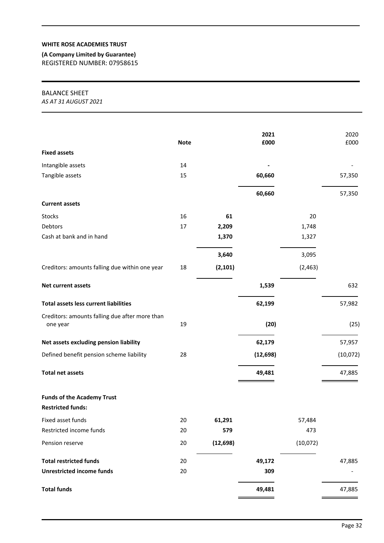**(A Company Limited by Guarantee)** REGISTERED NUMBER: 07958615

## BALANCE SHEET

*AS AT 31 AUGUST 2021*

|                                                            | <b>Note</b> |           | 2021<br>£000 |          | 2020<br>£000 |
|------------------------------------------------------------|-------------|-----------|--------------|----------|--------------|
| <b>Fixed assets</b>                                        |             |           |              |          |              |
| Intangible assets                                          | 14          |           |              |          |              |
| Tangible assets                                            | 15          |           | 60,660       |          | 57,350       |
|                                                            |             |           |              |          |              |
|                                                            |             |           | 60,660       |          | 57,350       |
| <b>Current assets</b>                                      |             |           |              |          |              |
| Stocks                                                     | 16          | 61        |              | 20       |              |
| Debtors                                                    | 17          | 2,209     |              | 1,748    |              |
| Cash at bank and in hand                                   |             | 1,370     |              | 1,327    |              |
|                                                            |             | 3,640     |              | 3,095    |              |
| Creditors: amounts falling due within one year             | 18          | (2, 101)  |              | (2, 463) |              |
| Net current assets                                         |             |           | 1,539        |          | 632          |
| <b>Total assets less current liabilities</b>               |             |           | 62,199       |          | 57,982       |
| Creditors: amounts falling due after more than<br>one year | 19          |           | (20)         |          | (25)         |
| Net assets excluding pension liability                     |             |           | 62,179       |          | 57,957       |
| Defined benefit pension scheme liability                   | 28          |           | (12, 698)    |          | (10,072)     |
| <b>Total net assets</b>                                    |             |           | 49,481       |          | 47,885       |
| <b>Funds of the Academy Trust</b>                          |             |           |              |          |              |
| <b>Restricted funds:</b>                                   |             |           |              |          |              |
| Fixed asset funds                                          | 20          | 61,291    |              | 57,484   |              |
| Restricted income funds                                    | 20          | 579       |              | 473      |              |
| Pension reserve                                            | 20          | (12, 698) |              | (10,072) |              |
| <b>Total restricted funds</b>                              | 20          |           | 49,172       |          | 47,885       |
| <b>Unrestricted income funds</b>                           | 20          |           | 309          |          |              |
| <b>Total funds</b>                                         |             |           | 49,481       |          | 47,885       |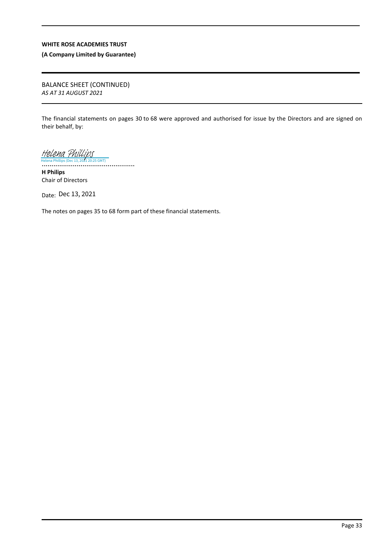**(A Company Limited by Guarantee)**

BALANCE SHEET (CONTINUED) *AS AT 31 AUGUST 2021*

The financial statements on pages 30 to 68 were approved and authorised for issue by the Directors and are signed on their behalf, by:

[Helena Phillips](https://eu1.documents.adobe.com/verifier?tx=CBJCHBCAABAAWfX6lVNyshcH8p2xAet-DSGSNjA1aZo6) (Dec 13, 2021 20:25 GMT)

................................................ **H Philips** Chair of Directors

Date: Dec 13, 2021

The notes on pages 35 to 68 form part of these financial statements.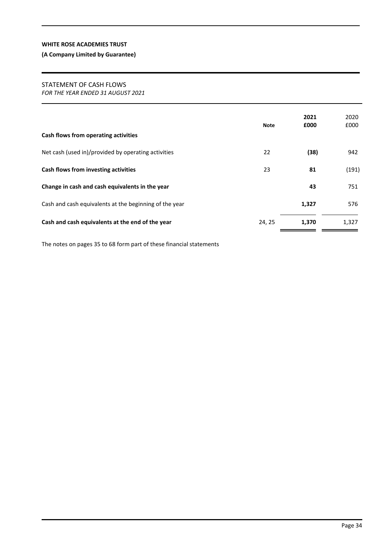## **(A Company Limited by Guarantee)**

## STATEMENT OF CASH FLOWS

*FOR THE YEAR ENDED 31 AUGUST 2021*

| Cash flows from operating activities                   | Note   | 2021<br>£000 | 2020<br>£000 |
|--------------------------------------------------------|--------|--------------|--------------|
| Net cash (used in)/provided by operating activities    | 22     | (38)         | 942          |
| Cash flows from investing activities                   | 23     | 81           | (191)        |
| Change in cash and cash equivalents in the year        |        | 43           | 751          |
| Cash and cash equivalents at the beginning of the year |        | 1,327        | 576          |
| Cash and cash equivalents at the end of the year       | 24, 25 | 1,370        | 1,327        |

The notes on pages 35 to 68 form part of these financial statements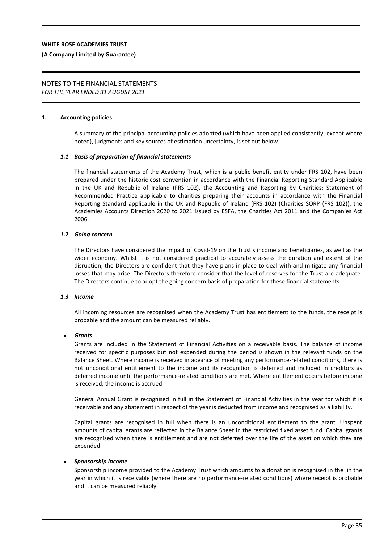#### **(A Company Limited by Guarantee)**

# NOTES TO THE FINANCIAL STATEMENTS

*FOR THE YEAR ENDED 31 AUGUST 2021*

#### **1. Accounting policies**

A summary of the principal accounting policies adopted (which have been applied consistently, except where noted), judgments and key sources of estimation uncertainty, is set out below.

## *1.1 Basis of preparation of financial statements*

The financial statements of the Academy Trust, which is a public benefit entity under FRS 102, have been prepared under the historic cost convention in accordance with the Financial Reporting Standard Applicable in the UK and Republic of Ireland (FRS 102), the Accounting and Reporting by Charities: Statement of Recommended Practice applicable to charities preparing their accounts in accordance with the Financial Reporting Standard applicable in the UK and Republic of Ireland (FRS 102) (Charities SORP (FRS 102)), the Academies Accounts Direction 2020 to 2021 issued by ESFA, the Charities Act 2011 and the Companies Act 2006.

#### *1.2 Going concern*

The Directors have considered the impact of Covid-19 on the Trust's income and beneficiaries, as well as the wider economy. Whilst it is not considered practical to accurately assess the duration and extent of the disruption, the Directors are confident that they have plans in place to deal with and mitigate any financial losses that may arise. The Directors therefore consider that the level of reserves for the Trust are adequate. The Directors continue to adopt the going concern basis of preparation for these financial statements.

#### *1.3 Income*

All incoming resources are recognised when the Academy Trust has entitlement to the funds, the receipt is probable and the amount can be measured reliably.

#### *Grants*

Grants are included in the Statement of Financial Activities on a receivable basis. The balance of income received for specific purposes but not expended during the period is shown in the relevant funds on the Balance Sheet. Where income is received in advance of meeting any performance-related conditions, there is not unconditional entitlement to the income and its recognition is deferred and included in creditors as deferred income until the performance-related conditions are met. Where entitlement occurs before income is received, the income is accrued.

General Annual Grant is recognised in full in the Statement of Financial Activities in the year for which it is receivable and any abatement in respect of the year is deducted from income and recognised as a liability.

Capital grants are recognised in full when there is an unconditional entitlement to the grant. Unspent amounts of capital grants are reflected in the Balance Sheet in the restricted fixed asset fund. Capital grants are recognised when there is entitlement and are not deferred over the life of the asset on which they are expended.

#### *Sponsorship income*

Sponsorship income provided to the Academy Trust which amounts to a donation is recognised in the in the year in which it is receivable (where there are no performance-related conditions) where receipt is probable and it can be measured reliably.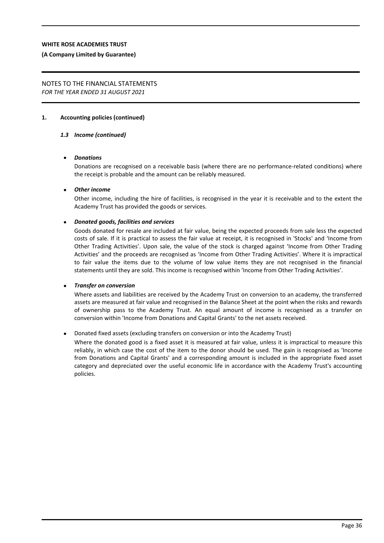#### **(A Company Limited by Guarantee)**

#### NOTES TO THE FINANCIAL STATEMENTS *FOR THE YEAR ENDED 31 AUGUST 2021*

#### **1. Accounting policies (continued)**

#### *1.3 Income (continued)*

#### *Donations*

Donations are recognised on a receivable basis (where there are no performance-related conditions) where the receipt is probable and the amount can be reliably measured.

#### *Other income*

Other income, including the hire of facilities, is recognised in the year it is receivable and to the extent the Academy Trust has provided the goods or services.

#### *Donated goods, facilities and services*

Goods donated for resale are included at fair value, being the expected proceeds from sale less the expected costs of sale. If it is practical to assess the fair value at receipt, it is recognised in 'Stocks' and 'Income from Other Trading Activities'. Upon sale, the value of the stock is charged against 'Income from Other Trading Activities' and the proceeds are recognised as 'Income from Other Trading Activities'. Where it is impractical to fair value the items due to the volume of low value items they are not recognised in the financial statements until they are sold. This income is recognised within 'Income from Other Trading Activities'.

#### *Transfer on conversion*

Where assets and liabilities are received by the Academy Trust on conversion to an academy, the transferred assets are measured at fair value and recognised in the Balance Sheet at the point when the risks and rewards of ownership pass to the Academy Trust. An equal amount of income is recognised as a transfer on conversion within 'Income from Donations and Capital Grants' to the net assets received.

#### Donated fixed assets (excluding transfers on conversion or into the Academy Trust)

Where the donated good is a fixed asset it is measured at fair value, unless it is impractical to measure this reliably, in which case the cost of the item to the donor should be used. The gain is recognised as 'Income from Donations and Capital Grants' and a corresponding amount is included in the appropriate fixed asset category and depreciated over the useful economic life in accordance with the Academy Trust's accounting policies.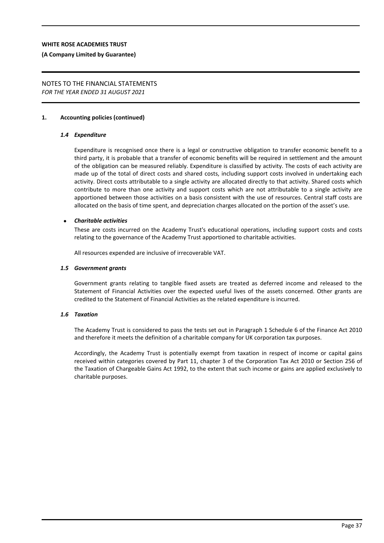#### **(A Company Limited by Guarantee)**

#### NOTES TO THE FINANCIAL STATEMENTS *FOR THE YEAR ENDED 31 AUGUST 2021*

#### **1. Accounting policies (continued)**

#### *1.4 Expenditure*

Expenditure is recognised once there is a legal or constructive obligation to transfer economic benefit to a third party, it is probable that a transfer of economic benefits will be required in settlement and the amount of the obligation can be measured reliably. Expenditure is classified by activity. The costs of each activity are made up of the total of direct costs and shared costs, including support costs involved in undertaking each activity. Direct costs attributable to a single activity are allocated directly to that activity. Shared costs which contribute to more than one activity and support costs which are not attributable to a single activity are apportioned between those activities on a basis consistent with the use of resources. Central staff costs are allocated on the basis of time spent, and depreciation charges allocated on the portion of the asset's use.

#### *Charitable activities*

These are costs incurred on the Academy Trust's educational operations, including support costs and costs relating to the governance of the Academy Trust apportioned to charitable activities.

All resources expended are inclusive of irrecoverable VAT.

#### *1.5 Government grants*

Government grants relating to tangible fixed assets are treated as deferred income and released to the Statement of Financial Activities over the expected useful lives of the assets concerned. Other grants are credited to the Statement of Financial Activities as the related expenditure is incurred.

#### *1.6 Taxation*

The Academy Trust is considered to pass the tests set out in Paragraph 1 Schedule 6 of the Finance Act 2010 and therefore it meets the definition of a charitable company for UK corporation tax purposes.

Accordingly, the Academy Trust is potentially exempt from taxation in respect of income or capital gains received within categories covered by Part 11, chapter 3 of the Corporation Tax Act 2010 or Section 256 of the Taxation of Chargeable Gains Act 1992, to the extent that such income or gains are applied exclusively to charitable purposes.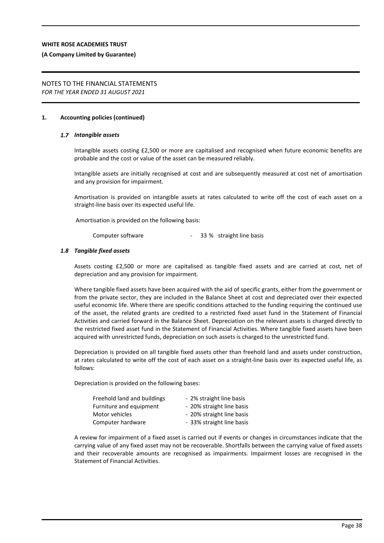#### **(A Company Limited by Guarantee)**

#### NOTES TO THE FINANCIAL STATEMENTS *FOR THE YEAR ENDED 31 AUGUST 2021*

#### **1. Accounting policies (continued)**

#### *1.7 Intangible assets*

Intangible assets costing £2,500 or more are capitalised and recognised when future economic benefits are probable and the cost or value of the asset can be measured reliably.

Intangible assets are initially recognised at cost and are subsequently measured at cost net of amortisation and any provision for impairment.

Amortisation is provided on intangible assets at rates calculated to write off the cost of each asset on a straight-line basis over its expected useful life.

Amortisation is provided on the following basis:

Computer software - 33 % straight line basis

#### *1.8 Tangible fixed assets*

Assets costing £2,500 or more are capitalised as tangible fixed assets and are carried at cost, net of depreciation and any provision for impairment.

Where tangible fixed assets have been acquired with the aid of specific grants, either from the government or from the private sector, they are included in the Balance Sheet at cost and depreciated over their expected useful economic life. Where there are specific conditions attached to the funding requiring the continued use of the asset, the related grants are credited to a restricted fixed asset fund in the Statement of Financial Activities and carried forward in the Balance Sheet. Depreciation on the relevant assets is charged directly to the restricted fixed asset fund in the Statement of Financial Activities. Where tangible fixed assets have been acquired with unrestricted funds, depreciation on such assets is charged to the unrestricted fund.

Depreciation is provided on all tangible fixed assets other than freehold land and assets under construction, at rates calculated to write off the cost of each asset on a straight-line basis over its expected useful life, as follows:

Depreciation is provided on the following bases:

| Freehold land and buildings | - 2% straight line basis  |
|-----------------------------|---------------------------|
| Furniture and equipment     | - 20% straight line basis |
| Motor vehicles              | - 20% straight line basis |
| Computer hardware           | - 33% straight line basis |
|                             |                           |

A review for impairment of a fixed asset is carried out if events or changes in circumstances indicate that the carrying value of any fixed asset may not be recoverable. Shortfalls between the carrying value of fixed assets and their recoverable amounts are recognised as impairments. Impairment losses are recognised in the Statement of Financial Activities.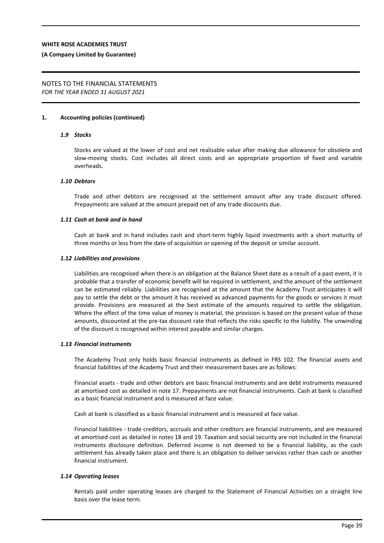#### **(A Company Limited by Guarantee)**

#### NOTES TO THE FINANCIAL STATEMENTS *FOR THE YEAR ENDED 31 AUGUST 2021*

#### **1. Accounting policies (continued)**

#### *1.9 Stocks*

Stocks are valued at the lower of cost and net realisable value after making due allowance for obsolete and slow-moving stocks. Cost includes all direct costs and an appropriate proportion of fixed and variable overheads.

#### *1.10 Debtors*

Trade and other debtors are recognised at the settlement amount after any trade discount offered. Prepayments are valued at the amount prepaid net of any trade discounts due.

#### *1.11 Cash at bank and in hand*

Cash at bank and in hand includes cash and short-term highly liquid investments with a short maturity of three months or less from the date of acquisition or opening of the deposit or similar account.

#### *1.12 Liabilities and provisions*

Liabilities are recognised when there is an obligation at the Balance Sheet date as a result of a past event, it is probable that a transfer of economic benefit will be required in settlement, and the amount of the settlement can be estimated reliably. Liabilities are recognised at the amount that the Academy Trust anticipates it will pay to settle the debt or the amount it has received as advanced payments for the goods or services it must provide. Provisions are measured at the best estimate of the amounts required to settle the obligation. Where the effect of the time value of money is material, the provision is based on the present value of those amounts, discounted at the pre-tax discount rate that reflects the risks specific to the liability. The unwinding of the discount is recognised within interest payable and similar charges.

#### *1.13 Financial instruments*

The Academy Trust only holds basic financial instruments as defined in FRS 102. The financial assets and financial liabilities of the Academy Trust and their measurement bases are as follows:

Financial assets - trade and other debtors are basic financial instruments and are debt instruments measured at amortised cost as detailed in note 17. Prepayments are not financial instruments. Cash at bank is classified as a basic financial instrument and is measured at face value.

Cash at bank is classified as a basic financial instrument and is measured at face value.

Financial liabilities - trade creditors, accruals and other creditors are financial instruments, and are measured at amortised cost as detailed in notes 18 and 19. Taxation and social security are not included in the financial instruments disclosure definition. Deferred income is not deemed to be a financial liability, as the cash settlement has already taken place and there is an obligation to deliver services rather than cash or another financial instrument.

#### *1.14 Operating leases*

Rentals paid under operating leases are charged to the Statement of Financial Activities on a straight line basis over the lease term.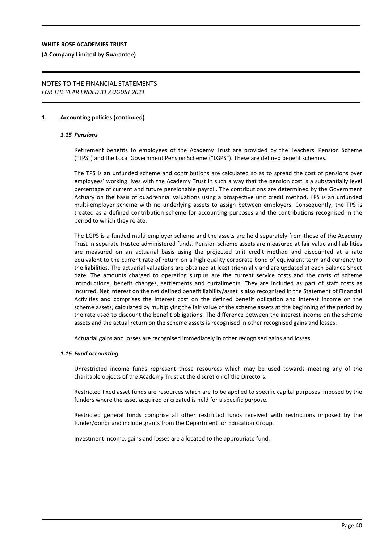#### **(A Company Limited by Guarantee)**

#### NOTES TO THE FINANCIAL STATEMENTS *FOR THE YEAR ENDED 31 AUGUST 2021*

#### **1. Accounting policies (continued)**

#### *1.15 Pensions*

Retirement benefits to employees of the Academy Trust are provided by the Teachers' Pension Scheme ("TPS") and the Local Government Pension Scheme ("LGPS"). These are defined benefit schemes.

The TPS is an unfunded scheme and contributions are calculated so as to spread the cost of pensions over employees' working lives with the Academy Trust in such a way that the pension cost is a substantially level percentage of current and future pensionable payroll. The contributions are determined by the Government Actuary on the basis of quadrennial valuations using a prospective unit credit method. TPS is an unfunded multi-employer scheme with no underlying assets to assign between employers. Consequently, the TPS is treated as a defined contribution scheme for accounting purposes and the contributions recognised in the period to which they relate.

The LGPS is a funded multi-employer scheme and the assets are held separately from those of the Academy Trust in separate trustee administered funds. Pension scheme assets are measured at fair value and liabilities are measured on an actuarial basis using the projected unit credit method and discounted at a rate equivalent to the current rate of return on a high quality corporate bond of equivalent term and currency to the liabilities. The actuarial valuations are obtained at least triennially and are updated at each Balance Sheet date. The amounts charged to operating surplus are the current service costs and the costs of scheme introductions, benefit changes, settlements and curtailments. They are included as part of staff costs as incurred. Net interest on the net defined benefit liability/asset is also recognised in the Statement of Financial Activities and comprises the interest cost on the defined benefit obligation and interest income on the scheme assets, calculated by multiplying the fair value of the scheme assets at the beginning of the period by the rate used to discount the benefit obligations. The difference between the interest income on the scheme assets and the actual return on the scheme assets is recognised in other recognised gains and losses.

Actuarial gains and losses are recognised immediately in other recognised gains and losses.

#### *1.16 Fund accounting*

Unrestricted income funds represent those resources which may be used towards meeting any of the charitable objects of the Academy Trust at the discretion of the Directors.

Restricted fixed asset funds are resources which are to be applied to specific capital purposes imposed by the funders where the asset acquired or created is held for a specific purpose.

Restricted general funds comprise all other restricted funds received with restrictions imposed by the funder/donor and include grants from the Department for Education Group.

Investment income, gains and losses are allocated to the appropriate fund.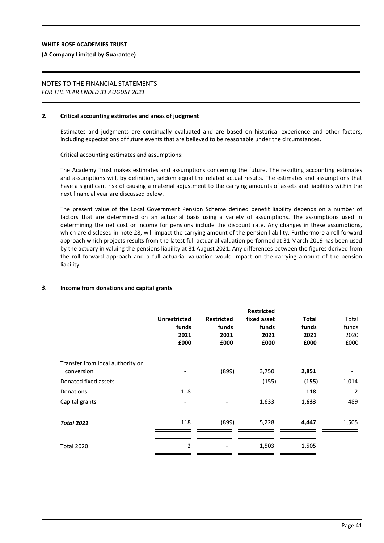#### **(A Company Limited by Guarantee)**

#### NOTES TO THE FINANCIAL STATEMENTS *FOR THE YEAR ENDED 31 AUGUST 2021*

#### *2.* **Critical accounting estimates and areas of judgment**

Estimates and judgments are continually evaluated and are based on historical experience and other factors, including expectations of future events that are believed to be reasonable under the circumstances.

Critical accounting estimates and assumptions:

The Academy Trust makes estimates and assumptions concerning the future. The resulting accounting estimates and assumptions will, by definition, seldom equal the related actual results. The estimates and assumptions that have a significant risk of causing a material adjustment to the carrying amounts of assets and liabilities within the next financial year are discussed below.

The present value of the Local Government Pension Scheme defined benefit liability depends on a number of factors that are determined on an actuarial basis using a variety of assumptions. The assumptions used in determining the net cost or income for pensions include the discount rate. Any changes in these assumptions, which are disclosed in note 28, will impact the carrying amount of the pension liability. Furthermore a roll forward approach which projects results from the latest full actuarial valuation performed at 31 March 2019 has been used by the actuary in valuing the pensions liability at 31 August 2021. Any differences between the figures derived from the roll forward approach and a full actuarial valuation would impact on the carrying amount of the pension liability.

#### **3. Income from donations and capital grants**

|                                  | <b>Unrestricted</b><br>funds<br>2021<br>£000 | <b>Restricted</b><br>funds<br>2021<br>£000 | <b>Restricted</b><br>fixed asset<br>funds<br>2021<br>£000 | <b>Total</b><br>funds<br>2021<br>£000 | Total<br>funds<br>2020<br>£000 |
|----------------------------------|----------------------------------------------|--------------------------------------------|-----------------------------------------------------------|---------------------------------------|--------------------------------|
| Transfer from local authority on |                                              |                                            |                                                           |                                       |                                |
| conversion                       |                                              | (899)                                      | 3,750                                                     | 2,851                                 |                                |
| Donated fixed assets             |                                              |                                            | (155)                                                     | (155)                                 | 1,014                          |
| <b>Donations</b>                 | 118                                          |                                            |                                                           | 118                                   | $\overline{2}$                 |
| Capital grants                   | ٠                                            |                                            | 1,633                                                     | 1,633                                 | 489                            |
| <b>Total 2021</b>                | 118                                          | (899)                                      | 5,228                                                     | 4,447                                 | 1,505                          |
| <b>Total 2020</b>                | 2                                            |                                            | 1,503                                                     | 1,505                                 |                                |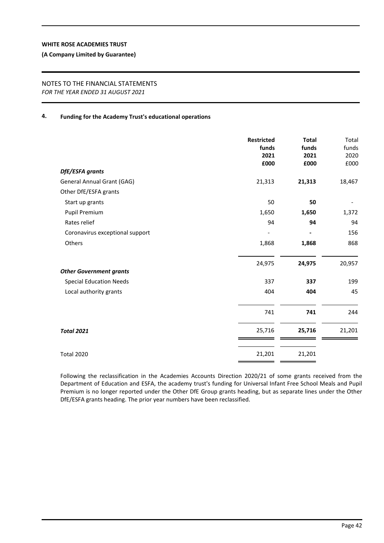#### **(A Company Limited by Guarantee)**

#### NOTES TO THE FINANCIAL STATEMENTS *FOR THE YEAR ENDED 31 AUGUST 2021*

## **4. Funding for the Academy Trust's educational operations**

|                                   | <b>Restricted</b><br>funds<br>2021<br>£000 | <b>Total</b><br>funds<br>2021<br>£000 | Total<br>funds<br>2020<br>£000 |
|-----------------------------------|--------------------------------------------|---------------------------------------|--------------------------------|
| DfE/ESFA grants                   |                                            |                                       |                                |
| <b>General Annual Grant (GAG)</b> | 21,313                                     | 21,313                                | 18,467                         |
| Other DfE/ESFA grants             |                                            |                                       |                                |
| Start up grants                   | 50                                         | 50                                    |                                |
| Pupil Premium                     | 1,650                                      | 1,650                                 | 1,372                          |
| Rates relief                      | 94                                         | 94                                    | 94                             |
| Coronavirus exceptional support   |                                            |                                       | 156                            |
| Others                            | 1,868                                      | 1,868                                 | 868                            |
| <b>Other Government grants</b>    | 24,975                                     | 24,975                                | 20,957                         |
| <b>Special Education Needs</b>    | 337                                        | 337                                   | 199                            |
| Local authority grants            | 404                                        | 404                                   | 45                             |
|                                   | 741                                        | 741                                   | 244                            |
| <b>Total 2021</b>                 | 25,716                                     | 25,716                                | 21,201                         |
| <b>Total 2020</b>                 | 21,201                                     | 21,201                                |                                |

Following the reclassification in the Academies Accounts Direction 2020/21 of some grants received from the Department of Education and ESFA, the academy trust's funding for Universal Infant Free School Meals and Pupil Premium is no longer reported under the Other DfE Group grants heading, but as separate lines under the Other DfE/ESFA grants heading. The prior year numbers have been reclassified.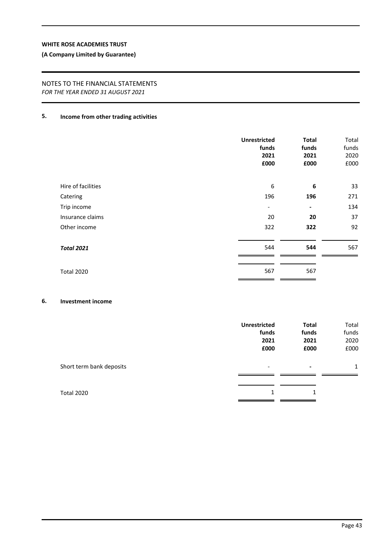## **(A Company Limited by Guarantee)**

## NOTES TO THE FINANCIAL STATEMENTS *FOR THE YEAR ENDED 31 AUGUST 2021*

## **5. Income from other trading activities**

|                    | <b>Unrestricted</b><br>funds<br>2021<br>£000 | <b>Total</b><br>funds<br>2021<br>£000 | Total<br>funds<br>2020<br>£000 |
|--------------------|----------------------------------------------|---------------------------------------|--------------------------------|
| Hire of facilities | 6                                            | 6                                     | 33                             |
| Catering           | 196                                          | 196                                   | 271                            |
| Trip income        | $\overline{\phantom{a}}$                     | $\blacksquare$                        | 134                            |
| Insurance claims   | 20                                           | 20                                    | 37                             |
| Other income       | 322                                          | 322                                   | 92                             |
| <b>Total 2021</b>  | 544                                          | 544                                   | 567                            |
| <b>Total 2020</b>  | 567                                          | 567                                   |                                |

## **6. Investment income**

|                          | <b>Unrestricted</b>      | <b>Total</b>             | Total        |
|--------------------------|--------------------------|--------------------------|--------------|
|                          | funds                    | funds                    | funds        |
|                          | 2021                     | 2021                     | 2020         |
|                          | £000                     | £000                     | £000         |
| Short term bank deposits | $\overline{\phantom{a}}$ | $\overline{\phantom{a}}$ | $\mathbf{1}$ |
|                          |                          |                          |              |
| Total 2020               | 1                        | 1                        |              |
|                          |                          |                          |              |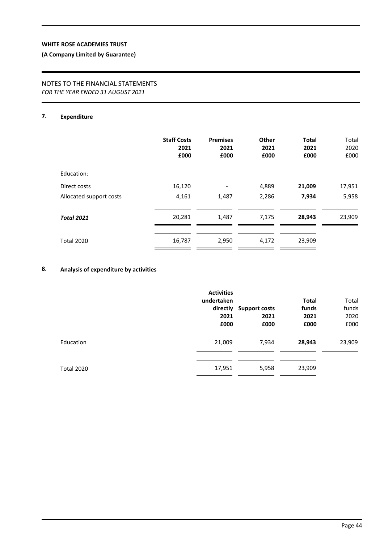## **(A Company Limited by Guarantee)**

## NOTES TO THE FINANCIAL STATEMENTS *FOR THE YEAR ENDED 31 AUGUST 2021*

## **7. Expenditure**

|                         | <b>Staff Costs</b><br>2021<br>£000 | <b>Premises</b><br>2021<br>£000 | Other<br>2021<br>£000 | <b>Total</b><br>2021<br>£000 | Total<br>2020<br>£000 |
|-------------------------|------------------------------------|---------------------------------|-----------------------|------------------------------|-----------------------|
| Education:              |                                    |                                 |                       |                              |                       |
| Direct costs            | 16,120                             |                                 | 4,889                 | 21,009                       | 17,951                |
| Allocated support costs | 4,161                              | 1,487                           | 2,286                 | 7,934                        | 5,958                 |
| <b>Total 2021</b>       | 20,281                             | 1,487                           | 7,175                 | 28,943                       | 23,909                |
| <b>Total 2020</b>       | 16,787                             | 2,950                           | 4,172                 | 23,909                       |                       |
|                         |                                    |                                 |                       |                              |                       |

## **8. Analysis of expenditure by activities**

|                   | <b>Activities</b><br>undertaken<br>2021<br>£000 | directly Support costs<br>2021<br>£000 | <b>Total</b><br>funds<br>2021<br>£000 | Total<br>funds<br>2020<br>£000 |
|-------------------|-------------------------------------------------|----------------------------------------|---------------------------------------|--------------------------------|
| Education         | 21,009                                          | 7,934                                  | 28,943                                | 23,909                         |
| <b>Total 2020</b> | 17,951                                          | 5,958                                  | 23,909                                |                                |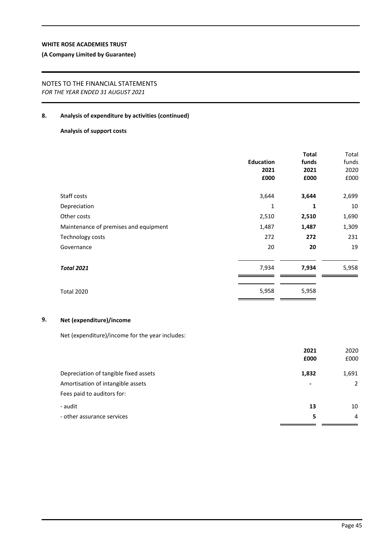## **(A Company Limited by Guarantee)**

## NOTES TO THE FINANCIAL STATEMENTS *FOR THE YEAR ENDED 31 AUGUST 2021*

#### **8. Analysis of expenditure by activities (continued)**

## **Analysis of support costs**

|                                       | <b>Education</b><br>2021<br>£000 | <b>Total</b><br>funds<br>2021<br>£000 | Total<br>funds<br>2020<br>£000 |
|---------------------------------------|----------------------------------|---------------------------------------|--------------------------------|
| Staff costs                           | 3,644                            | 3,644                                 | 2,699                          |
| Depreciation                          | 1                                | 1                                     | 10                             |
| Other costs                           | 2,510                            | 2,510                                 | 1,690                          |
| Maintenance of premises and equipment | 1,487                            | 1,487                                 | 1,309                          |
| Technology costs                      | 272                              | 272                                   | 231                            |
| Governance                            | 20                               | 20                                    | 19                             |
| <b>Total 2021</b>                     | 7,934                            | 7,934                                 | 5,958                          |
| <b>Total 2020</b>                     | 5,958                            | 5,958                                 |                                |

## **9. Net (expenditure)/income**

Net (expenditure)/income for the year includes:

|                                       | 2021                     | 2020  |
|---------------------------------------|--------------------------|-------|
|                                       | £000                     | £000  |
| Depreciation of tangible fixed assets | 1,832                    | 1,691 |
| Amortisation of intangible assets     | $\overline{\phantom{a}}$ | 2     |
| Fees paid to auditors for:            |                          |       |
| - audit                               | 13                       | 10    |
| - other assurance services            | 5                        | 4     |
|                                       |                          |       |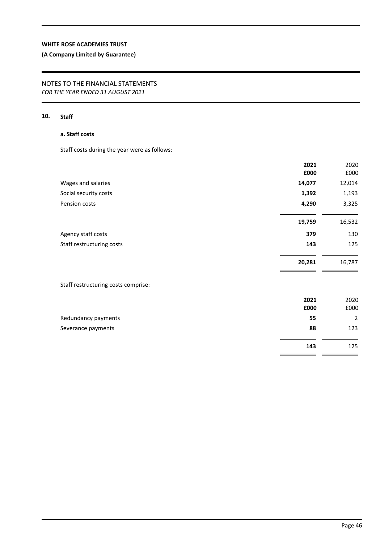## **(A Company Limited by Guarantee)**

## NOTES TO THE FINANCIAL STATEMENTS *FOR THE YEAR ENDED 31 AUGUST 2021*

## **10. Staff**

## **a. Staff costs**

Staff costs during the year were as follows:

|                                     | 2021   | 2020           |
|-------------------------------------|--------|----------------|
|                                     | £000   | £000           |
| Wages and salaries                  | 14,077 | 12,014         |
| Social security costs               | 1,392  | 1,193          |
| Pension costs                       | 4,290  | 3,325          |
|                                     | 19,759 | 16,532         |
| Agency staff costs                  | 379    | 130            |
| Staff restructuring costs           | 143    | 125            |
|                                     | 20,281 | 16,787         |
| Staff restructuring costs comprise: |        |                |
|                                     | 2021   | 2020           |
|                                     | £000   | £000           |
| Redundancy payments                 | 55     | $\overline{2}$ |
| Severance payments                  | 88     | 123            |
|                                     | 143    | 125            |

 $=$   $=$ 

L,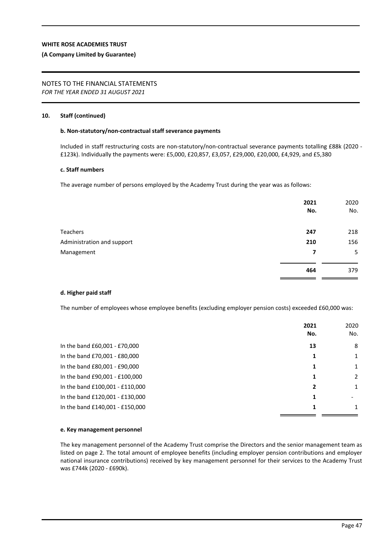#### **(A Company Limited by Guarantee)**

# NOTES TO THE FINANCIAL STATEMENTS

*FOR THE YEAR ENDED 31 AUGUST 2021*

### **10. Staff (continued)**

#### **b. Non-statutory/non-contractual staff severance payments**

Included in staff restructuring costs are non-statutory/non-contractual severance payments totalling £88k (2020 - £123k). Individually the payments were: £5,000, £20,857, £3,057, £29,000, £20,000, £4,929, and £5,380

#### **c. Staff numbers**

The average number of persons employed by the Academy Trust during the year was as follows:

|                            | 2021<br>No. | 2020<br>No. |
|----------------------------|-------------|-------------|
| <b>Teachers</b>            | 247         | 218         |
| Administration and support | 210         | 156         |
| Management                 | 7           | 5           |
|                            | 464         | 379         |

#### **d. Higher paid staff**

The number of employees whose employee benefits (excluding employer pension costs) exceeded £60,000 was:

| No.<br>No.<br>In the band £60,001 - £70,000<br>8<br>13<br>In the band £70,001 - £80,000<br>1<br>In the band £80,001 - £90,000<br>$\mathbf{1}$<br>1<br>In the band £90,001 - £100,000<br>2<br>1<br>In the band £100,001 - £110,000<br>$\mathbf{1}$<br>2<br>In the band £120,001 - £130,000<br>1<br>In the band £140,001 - £150,000<br>1 | 2021 | 2020 |
|----------------------------------------------------------------------------------------------------------------------------------------------------------------------------------------------------------------------------------------------------------------------------------------------------------------------------------------|------|------|
|                                                                                                                                                                                                                                                                                                                                        |      |      |
|                                                                                                                                                                                                                                                                                                                                        |      |      |
|                                                                                                                                                                                                                                                                                                                                        |      |      |
|                                                                                                                                                                                                                                                                                                                                        |      |      |
|                                                                                                                                                                                                                                                                                                                                        |      |      |
|                                                                                                                                                                                                                                                                                                                                        |      |      |
|                                                                                                                                                                                                                                                                                                                                        |      |      |
|                                                                                                                                                                                                                                                                                                                                        |      |      |

#### **e. Key management personnel**

The key management personnel of the Academy Trust comprise the Directors and the senior management team as listed on page 2. The total amount of employee benefits (including employer pension contributions and employer national insurance contributions) received by key management personnel for their services to the Academy Trust was £744k (2020 *-* £690k).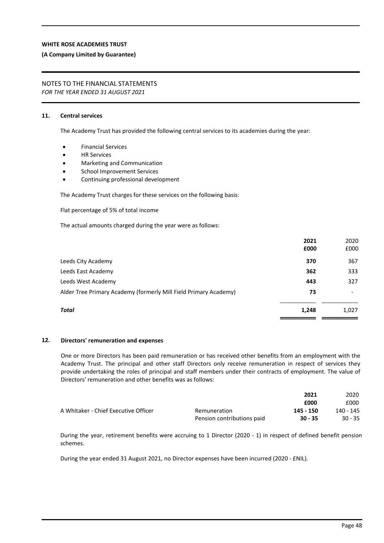#### **(A Company Limited by Guarantee)**

## NOTES TO THE FINANCIAL STATEMENTS

*FOR THE YEAR ENDED 31 AUGUST 2021*

### **11. Central services**

The Academy Trust has provided the following central services to its academies during the year:

- Financial Services
- HR Services
- Marketing and Communication
- School Improvement Services
- Continuing professional development

The Academy Trust charges for these services on the following basis:

Flat percentage of 5% of total income

The actual amounts charged during the year were as follows:

|                                                                  | 2021<br>£000 | 2020<br>£000 |
|------------------------------------------------------------------|--------------|--------------|
| Leeds City Academy                                               | 370          | 367          |
| Leeds East Academy                                               | 362          | 333          |
| Leeds West Academy                                               | 443          | 327          |
| Alder Tree Primary Academy (formerly Mill Field Primary Academy) | 73           | -            |
| Total                                                            | 1,248        | 1,027        |

#### **12. Directors' remuneration and expenses**

One or more Directors has been paid remuneration or has received other benefits from an employment with the Academy Trust. The principal and other staff Directors only receive remuneration in respect of services they provide undertaking the roles of principal and staff members under their contracts of employment. The value of Directors' remuneration and other benefits was as follows:

|                                      |                            | 2021      | 2020      |
|--------------------------------------|----------------------------|-----------|-----------|
|                                      |                            | £000      | £000      |
| A Whitaker - Chief Executive Officer | Remuneration               | 145 - 150 | 140 - 145 |
|                                      | Pension contributions paid | $30 - 35$ | $30 - 35$ |

During the year, retirement benefits were accruing to 1 Director (2020 - 1) in respect of defined benefit pension schemes.

During the year ended 31 August 2021, no Director expenses have been incurred (2020 - £NIL).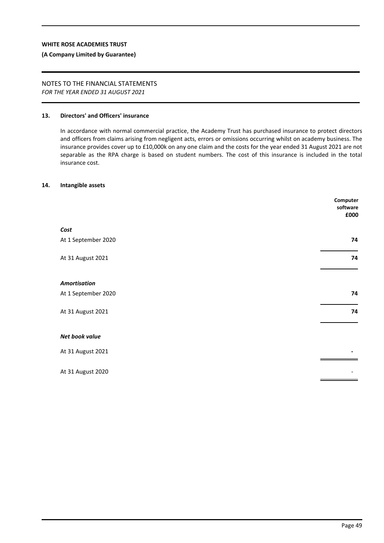#### **(A Company Limited by Guarantee)**

# NOTES TO THE FINANCIAL STATEMENTS

*FOR THE YEAR ENDED 31 AUGUST 2021*

#### **13. Directors' and Officers' insurance**

In accordance with normal commercial practice, the Academy Trust has purchased insurance to protect directors and officers from claims arising from negligent acts, errors or omissions occurring whilst on academy business. The insurance provides cover up to £10,000k on any one claim and the costs for the year ended 31 August 2021 are not separable as the RPA charge is based on student numbers. The cost of this insurance is included in the total insurance cost.

#### **14. Intangible assets**

|                     | Computer<br>software<br>£000 |
|---------------------|------------------------------|
| Cost                |                              |
| At 1 September 2020 | 74                           |
| At 31 August 2021   | 74                           |
| <b>Amortisation</b> |                              |
| At 1 September 2020 | 74                           |
| At 31 August 2021   | 74                           |
| Net book value      |                              |
| At 31 August 2021   |                              |
| At 31 August 2020   |                              |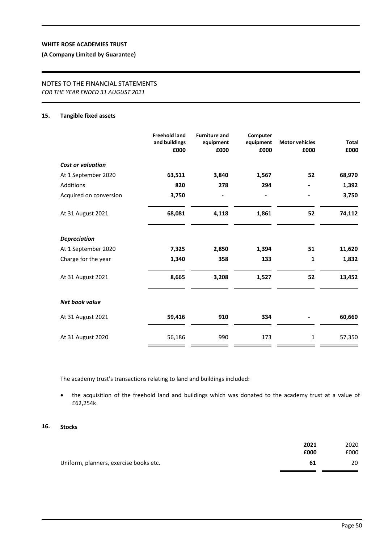## **(A Company Limited by Guarantee)**

# NOTES TO THE FINANCIAL STATEMENTS

*FOR THE YEAR ENDED 31 AUGUST 2021*

### **15. Tangible fixed assets**

|                          | <b>Freehold land</b><br>and buildings<br>£000 | <b>Furniture and</b><br>equipment<br>£000 | Computer<br>equipment<br>£000 | <b>Motor vehicles</b><br>£000 | <b>Total</b><br>£000 |
|--------------------------|-----------------------------------------------|-------------------------------------------|-------------------------------|-------------------------------|----------------------|
| <b>Cost or valuation</b> |                                               |                                           |                               |                               |                      |
| At 1 September 2020      | 63,511                                        | 3,840                                     | 1,567                         | 52                            | 68,970               |
| Additions                | 820                                           | 278                                       | 294                           |                               | 1,392                |
| Acquired on conversion   | 3,750                                         |                                           |                               |                               | 3,750                |
| At 31 August 2021        | 68,081                                        | 4,118                                     | 1,861                         | 52                            | 74,112               |
| <b>Depreciation</b>      |                                               |                                           |                               |                               |                      |
| At 1 September 2020      | 7,325                                         | 2,850                                     | 1,394                         | 51                            | 11,620               |
| Charge for the year      | 1,340                                         | 358                                       | 133                           | 1                             | 1,832                |
| At 31 August 2021        | 8,665                                         | 3,208                                     | 1,527                         | 52                            | 13,452               |
| <b>Net book value</b>    |                                               |                                           |                               |                               |                      |
| At 31 August 2021        | 59,416                                        | 910                                       | 334                           |                               | 60,660               |
| At 31 August 2020        | 56,186                                        | 990                                       | 173                           | 1                             | 57,350               |

The academy trust's transactions relating to land and buildings included:

 the acquisition of the freehold land and buildings which was donated to the academy trust at a value of £62,254k

#### **16. Stocks**

|                                        | 2021 | 2020 |
|----------------------------------------|------|------|
|                                        | £000 | £000 |
| Uniform, planners, exercise books etc. | 61   | 20   |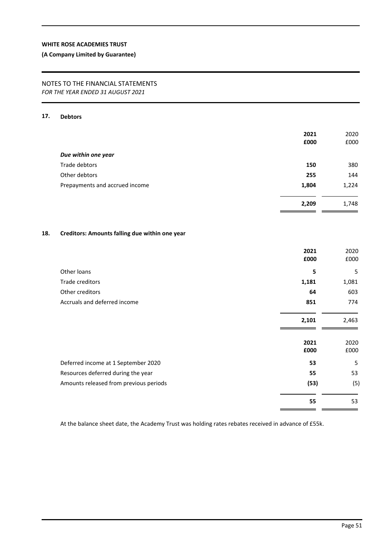## **(A Company Limited by Guarantee)**

## NOTES TO THE FINANCIAL STATEMENTS *FOR THE YEAR ENDED 31 AUGUST 2021*

## **17. Debtors**

| 2021<br>£000 | 2020<br>£000 |
|--------------|--------------|
|              |              |
| 150          | 380          |
| 255          | 144          |
| 1,804        | 1,224        |
| 2,209        | 1,748        |
|              |              |

## **18. Creditors: Amounts falling due within one year**

|                                        | 2021<br>£000 | 2020<br>£000 |
|----------------------------------------|--------------|--------------|
| Other loans                            | 5            | 5            |
| Trade creditors                        | 1,181        | 1,081        |
| Other creditors                        | 64           | 603          |
| Accruals and deferred income           | 851          | 774          |
|                                        | 2,101        | 2,463        |
|                                        | 2021<br>£000 | 2020<br>£000 |
| Deferred income at 1 September 2020    | 53           | 5            |
| Resources deferred during the year     | 55           | 53           |
| Amounts released from previous periods | (53)         | (5)          |
|                                        | 55           | 53           |

At the balance sheet date, the Academy Trust was holding rates rebates received in advance of £55k.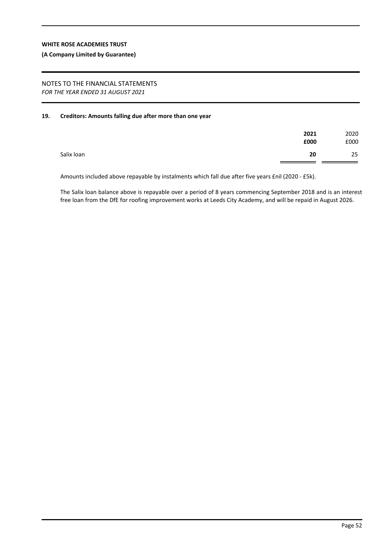#### **(A Company Limited by Guarantee)**

#### NOTES TO THE FINANCIAL STATEMENTS *FOR THE YEAR ENDED 31 AUGUST 2021*

## **19. Creditors: Amounts falling due after more than one year**

|            | 2021<br>£000 | 2020<br>£000 |
|------------|--------------|--------------|
| Salix loan | 20           | 25           |

Amounts included above repayable by instalments which fall due after five years £nil (2020 - £5k).

The Salix loan balance above is repayable over a period of 8 years commencing September 2018 and is an interest free loan from the DfE for roofing improvement works at Leeds City Academy, and will be repaid in August 2026.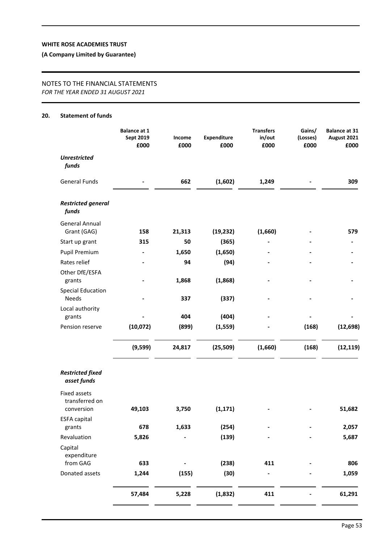**(A Company Limited by Guarantee)**

## NOTES TO THE FINANCIAL STATEMENTS *FOR THE YEAR ENDED 31 AUGUST 2021*

#### **20. Statement of funds**

|                                                     | <b>Balance at 1</b><br>Sept 2019<br>£000 | Income<br>£000 | Expenditure<br>£000 | <b>Transfers</b><br>in/out<br>£000 | Gains/<br>(Losses)<br>£000 | <b>Balance at 31</b><br>August 2021<br>£000 |
|-----------------------------------------------------|------------------------------------------|----------------|---------------------|------------------------------------|----------------------------|---------------------------------------------|
| <b>Unrestricted</b><br>funds                        |                                          |                |                     |                                    |                            |                                             |
| <b>General Funds</b>                                |                                          | 662            | (1,602)             | 1,249                              |                            | 309                                         |
| <b>Restricted general</b><br>funds                  |                                          |                |                     |                                    |                            |                                             |
| <b>General Annual</b>                               |                                          |                |                     |                                    |                            |                                             |
| Grant (GAG)                                         | 158                                      | 21,313         | (19, 232)           | (1,660)                            |                            | 579                                         |
| Start up grant                                      | 315                                      | 50             | (365)               |                                    |                            |                                             |
| <b>Pupil Premium</b>                                |                                          | 1,650          | (1,650)             |                                    |                            |                                             |
| Rates relief                                        |                                          | 94             | (94)                |                                    |                            |                                             |
| Other DfE/ESFA<br>grants                            |                                          | 1,868          | (1,868)             |                                    |                            |                                             |
| <b>Special Education</b>                            |                                          |                |                     |                                    |                            |                                             |
| Needs                                               |                                          | 337            | (337)               |                                    |                            |                                             |
| Local authority                                     |                                          |                |                     |                                    |                            |                                             |
| grants                                              |                                          | 404            | (404)               |                                    |                            |                                             |
| Pension reserve                                     | (10,072)                                 | (899)          | (1, 559)            |                                    | (168)                      | (12, 698)                                   |
|                                                     | (9,599)                                  | 24,817         | (25, 509)           | (1,660)                            | (168)                      | (12, 119)                                   |
| <b>Restricted fixed</b><br>asset funds              |                                          |                |                     |                                    |                            |                                             |
| <b>Fixed assets</b><br>transferred on<br>conversion | 49,103                                   | 3,750          | (1, 171)            |                                    |                            | 51,682                                      |
| <b>ESFA capital</b>                                 |                                          |                |                     |                                    |                            |                                             |
| grants                                              | 678                                      | 1,633          | (254)               |                                    |                            | 2,057                                       |
| Revaluation                                         | 5,826                                    |                | (139)               |                                    |                            | 5,687                                       |
| Capital<br>expenditure                              |                                          |                |                     |                                    |                            |                                             |
| from GAG                                            | 633                                      |                | (238)               | 411                                |                            | 806                                         |
| Donated assets                                      | 1,244                                    | (155)          | (30)                |                                    |                            | 1,059                                       |
|                                                     | 57,484                                   | 5,228          | (1,832)             | 411                                |                            | 61,291                                      |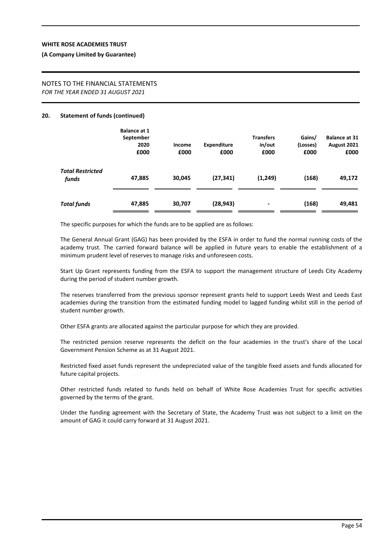#### **(A Company Limited by Guarantee)**

#### NOTES TO THE FINANCIAL STATEMENTS *FOR THE YEAR ENDED 31 AUGUST 2021*

#### **20. Statement of funds (continued)**

|                                  | <b>Balance at 1</b><br>September<br>2020<br>£000 | Income<br>£000 | <b>Expenditure</b><br>£000 | <b>Transfers</b><br>in/out<br>£000 | Gains/<br>(Losses)<br>£000 | <b>Balance at 31</b><br>August 2021<br>£000 |
|----------------------------------|--------------------------------------------------|----------------|----------------------------|------------------------------------|----------------------------|---------------------------------------------|
| <b>Total Restricted</b><br>funds | 47,885                                           | 30,045         | (27, 341)                  | (1,249)                            | (168)                      | 49,172                                      |
| <b>Total funds</b>               | 47,885                                           | 30,707         | (28, 943)                  |                                    | (168)                      | 49,481                                      |

The specific purposes for which the funds are to be applied are as follows:

The General Annual Grant (GAG) has been provided by the ESFA in order to fund the normal running costs of the academy trust. The carried forward balance will be applied in future years to enable the establishment of a minimum prudent level of reserves to manage risks and unforeseen costs.

Start Up Grant represents funding from the ESFA to support the management structure of Leeds City Academy during the period of student number growth.

The reserves transferred from the previous sponsor represent grants held to support Leeds West and Leeds East academies during the transition from the estimated funding model to lagged funding whilst still in the period of student number growth.

Other ESFA grants are allocated against the particular purpose for which they are provided.

The restricted pension reserve represents the deficit on the four academies in the trust's share of the Local Government Pension Scheme as at 31 August 2021.

Restricted fixed asset funds represent the undepreciated value of the tangible fixed assets and funds allocated for future capital projects.

Other restricted funds related to funds held on behalf of White Rose Academies Trust for specific activities governed by the terms of the grant.

Under the funding agreement with the Secretary of State, the Academy Trust was not subject to a limit on the amount of GAG it could carry forward at 31 August 2021.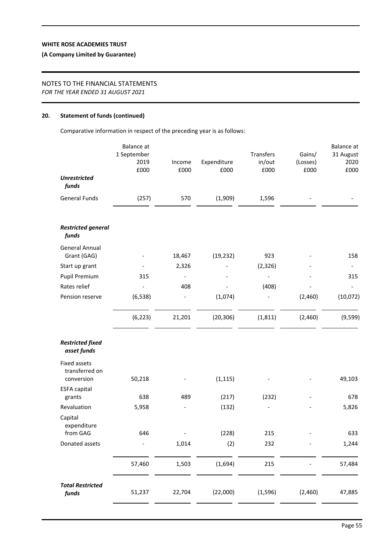## **(A Company Limited by Guarantee)**

## NOTES TO THE FINANCIAL STATEMENTS

*FOR THE YEAR ENDED 31 AUGUST 2021*

#### **20. Statement of funds (continued)**

Comparative information in respect of the preceding year is as follows:

|                                        | <b>Balance</b> at<br>1 September<br>2019<br>£000 | Income<br>£000               | Expenditure<br>£000 | Transfers<br>in/out<br>£000 | Gains/<br>(Losses)<br>£000 | <b>Balance</b> at<br>31 August<br>2020<br>£000 |
|----------------------------------------|--------------------------------------------------|------------------------------|---------------------|-----------------------------|----------------------------|------------------------------------------------|
| <b>Unrestricted</b><br>funds           |                                                  |                              |                     |                             |                            |                                                |
| <b>General Funds</b>                   | (257)                                            | 570                          | (1,909)             | 1,596                       |                            |                                                |
| <b>Restricted general</b><br>funds     |                                                  |                              |                     |                             |                            |                                                |
| <b>General Annual</b><br>Grant (GAG)   |                                                  | 18,467                       | (19, 232)           | 923                         |                            | 158                                            |
| Start up grant                         |                                                  | 2,326                        |                     | (2, 326)                    |                            | $\overline{\phantom{a}}$                       |
| <b>Pupil Premium</b>                   | 315                                              |                              |                     |                             |                            | 315                                            |
| Rates relief                           |                                                  | 408                          |                     | (408)                       |                            |                                                |
| Pension reserve                        | (6, 538)                                         | $\qquad \qquad \blacksquare$ | (1,074)             |                             | (2,460)                    | (10,072)                                       |
|                                        | (6, 223)                                         | 21,201                       | (20, 306)           | (1, 811)                    | (2,460)                    | (9, 599)                                       |
| <b>Restricted fixed</b><br>asset funds |                                                  |                              |                     |                             |                            |                                                |
| <b>Fixed assets</b><br>transferred on  |                                                  |                              |                     |                             |                            |                                                |
| conversion                             | 50,218                                           |                              | (1, 115)            |                             |                            | 49,103                                         |
| <b>ESFA capital</b><br>grants          | 638                                              | 489                          | (217)               | (232)                       |                            | 678                                            |
| Revaluation                            | 5,958                                            |                              | (132)               |                             |                            | 5,826                                          |
| Capital<br>expenditure                 |                                                  |                              |                     |                             |                            |                                                |
| from GAG                               | 646                                              |                              | (228)               | 215                         |                            | 633                                            |
| Donated assets                         |                                                  | 1,014                        | (2)                 | 232                         |                            | 1,244                                          |
|                                        | 57,460                                           | 1,503                        | (1,694)             | 215                         |                            | 57,484                                         |
| <b>Total Restricted</b><br>funds       | 51,237                                           | 22,704                       | (22,000)            | (1, 596)                    | (2,460)                    | 47,885                                         |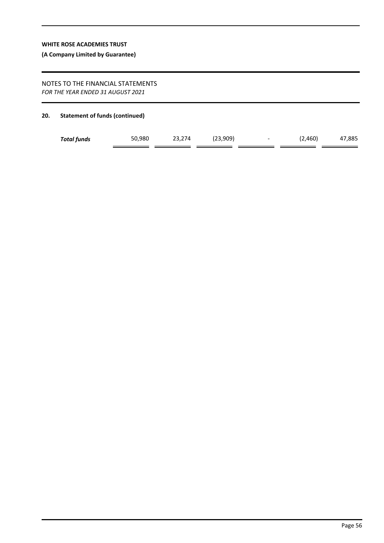## **(A Company Limited by Guarantee)**

## NOTES TO THE FINANCIAL STATEMENTS *FOR THE YEAR ENDED 31 AUGUST 2021*

#### **20. Statement of funds (continued)**

| <b>Total funds</b> | 50,980 | 23.274 | (23,909) | $\overline{\phantom{0}}$ | .460) | 47,885 |
|--------------------|--------|--------|----------|--------------------------|-------|--------|
|                    |        |        |          |                          |       |        |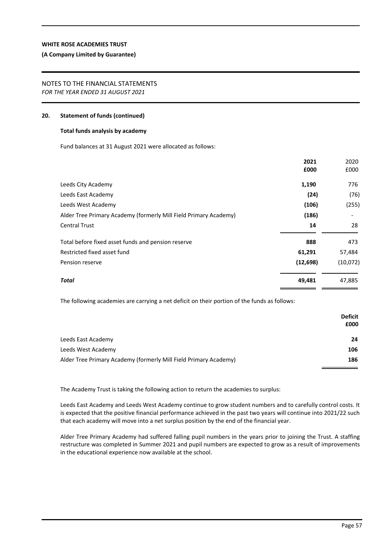#### **(A Company Limited by Guarantee)**

#### NOTES TO THE FINANCIAL STATEMENTS *FOR THE YEAR ENDED 31 AUGUST 2021*

#### **20. Statement of funds (continued)**

#### **Total funds analysis by academy**

Fund balances at 31 August 2021 were allocated as follows:

|                                                                  | 2021      | 2020     |
|------------------------------------------------------------------|-----------|----------|
|                                                                  | £000      | £000     |
| Leeds City Academy                                               | 1,190     | 776      |
| Leeds East Academy                                               | (24)      | (76)     |
| Leeds West Academy                                               | (106)     | (255)    |
| Alder Tree Primary Academy (formerly Mill Field Primary Academy) | (186)     |          |
| <b>Central Trust</b>                                             | 14        | 28       |
| Total before fixed asset funds and pension reserve               | 888       | 473      |
| Restricted fixed asset fund                                      | 61,291    | 57,484   |
| Pension reserve                                                  | (12, 698) | (10,072) |
| <b>Total</b>                                                     | 49,481    | 47,885   |

The following academies are carrying a net deficit on their portion of the funds as follows:

|                                                                  | <b>Deficit</b><br>£000 |
|------------------------------------------------------------------|------------------------|
| Leeds East Academy                                               | 24                     |
| Leeds West Academy                                               | 106                    |
| Alder Tree Primary Academy (formerly Mill Field Primary Academy) | 186                    |

The Academy Trust is taking the following action to return the academies to surplus:

Leeds East Academy and Leeds West Academy continue to grow student numbers and to carefully control costs. It is expected that the positive financial performance achieved in the past two years will continue into 2021/22 such that each academy will move into a net surplus position by the end of the financial year.

Alder Tree Primary Academy had suffered falling pupil numbers in the years prior to joining the Trust. A staffing restructure was completed in Summer 2021 and pupil numbers are expected to grow as a result of improvements in the educational experience now available at the school.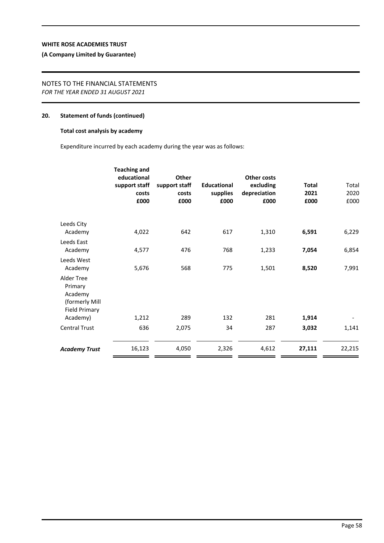## **(A Company Limited by Guarantee)**

## NOTES TO THE FINANCIAL STATEMENTS *FOR THE YEAR ENDED 31 AUGUST 2021*

#### **20. Statement of funds (continued)**

## **Total cost analysis by academy**

Expenditure incurred by each academy during the year was as follows:

|                                                                            | <b>Teaching and</b><br>educational<br>support staff<br>costs<br>£000 | <b>Other</b><br>support staff<br>costs<br>£000 | <b>Educational</b><br>supplies<br>£000 | <b>Other costs</b><br>excluding<br>depreciation<br>£000 | <b>Total</b><br>2021<br>£000 | Total<br>2020<br>£000 |
|----------------------------------------------------------------------------|----------------------------------------------------------------------|------------------------------------------------|----------------------------------------|---------------------------------------------------------|------------------------------|-----------------------|
| Leeds City                                                                 |                                                                      |                                                |                                        |                                                         |                              |                       |
| Academy                                                                    | 4,022                                                                | 642                                            | 617                                    | 1,310                                                   | 6,591                        | 6,229                 |
| Leeds East<br>Academy                                                      | 4,577                                                                | 476                                            | 768                                    | 1,233                                                   | 7,054                        | 6,854                 |
| Leeds West<br>Academy                                                      | 5,676                                                                | 568                                            | 775                                    | 1,501                                                   | 8,520                        | 7,991                 |
| Alder Tree<br>Primary<br>Academy<br>(formerly Mill<br><b>Field Primary</b> |                                                                      |                                                |                                        |                                                         |                              |                       |
| Academy)                                                                   | 1,212                                                                | 289                                            | 132                                    | 281                                                     | 1,914                        |                       |
| <b>Central Trust</b>                                                       | 636                                                                  | 2,075                                          | 34                                     | 287                                                     | 3,032                        | 1,141                 |
| <b>Academy Trust</b>                                                       | 16,123                                                               | 4,050                                          | 2,326                                  | 4,612                                                   | 27,111                       | 22,215                |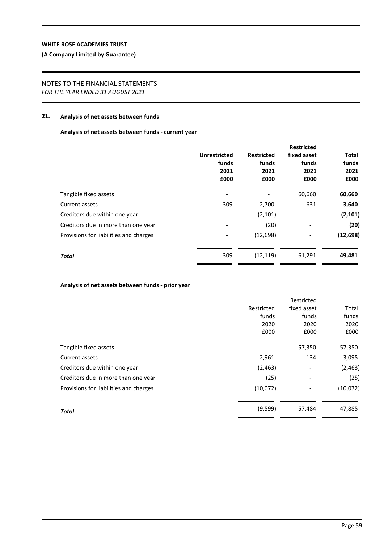## **(A Company Limited by Guarantee)**

## NOTES TO THE FINANCIAL STATEMENTS *FOR THE YEAR ENDED 31 AUGUST 2021*

## **21. Analysis of net assets between funds**

**Analysis of net assets between funds - current year**

|                                        |                     |                   | <b>Restricted</b>        |              |
|----------------------------------------|---------------------|-------------------|--------------------------|--------------|
|                                        | <b>Unrestricted</b> | <b>Restricted</b> | fixed asset              | <b>Total</b> |
|                                        | funds               | funds             | funds                    | funds        |
|                                        | 2021                | 2021              | 2021                     | 2021         |
|                                        | £000                | £000              | £000                     | £000         |
| Tangible fixed assets                  |                     | $\overline{a}$    | 60,660                   | 60,660       |
| Current assets                         | 309                 | 2,700             | 631                      | 3,640        |
| Creditors due within one year          |                     | (2,101)           | -                        | (2, 101)     |
| Creditors due in more than one year    |                     | (20)              | $\overline{\phantom{a}}$ | (20)         |
| Provisions for liabilities and charges |                     | (12, 698)         | -                        | (12, 698)    |
| <b>Total</b>                           | 309                 | (12, 119)         | 61,291                   | 49,481       |
|                                        |                     |                   |                          |              |

## **Analysis of net assets between funds - prior year**

|                                        |            | Restricted               |          |
|----------------------------------------|------------|--------------------------|----------|
|                                        | Restricted | fixed asset              | Total    |
|                                        | funds      | funds                    | funds    |
|                                        | 2020       | 2020                     | 2020     |
|                                        | £000       | £000                     | £000     |
| Tangible fixed assets                  |            | 57,350                   | 57,350   |
| Current assets                         | 2,961      | 134                      | 3,095    |
| Creditors due within one year          | (2, 463)   | $\overline{\phantom{a}}$ | (2,463)  |
| Creditors due in more than one year    | (25)       | $\overline{\phantom{a}}$ | (25)     |
| Provisions for liabilities and charges | (10,072)   |                          | (10,072) |
| <b>Total</b>                           | (9, 599)   | 57,484                   | 47,885   |
|                                        |            |                          |          |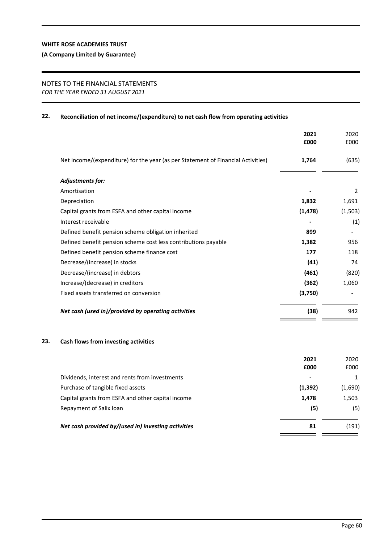## **(A Company Limited by Guarantee)**

## NOTES TO THE FINANCIAL STATEMENTS *FOR THE YEAR ENDED 31 AUGUST 2021*

## **22. Reconciliation of net income/(expenditure) to net cash flow from operating activities**

|                                                                                  | 2021<br>£000 | 2020<br>£000 |
|----------------------------------------------------------------------------------|--------------|--------------|
| Net income/(expenditure) for the year (as per Statement of Financial Activities) | 1,764        | (635)        |
| Adjustments for:                                                                 |              |              |
| Amortisation                                                                     |              | 2            |
| Depreciation                                                                     | 1,832        | 1,691        |
| Capital grants from ESFA and other capital income                                | (1, 478)     | (1, 503)     |
| Interest receivable                                                              |              | (1)          |
| Defined benefit pension scheme obligation inherited                              | 899          |              |
| Defined benefit pension scheme cost less contributions payable                   | 1,382        | 956          |
| Defined benefit pension scheme finance cost                                      | 177          | 118          |
| Decrease/(increase) in stocks                                                    | (41)         | 74           |
| Decrease/(increase) in debtors                                                   | (461)        | (820)        |
| Increase/(decrease) in creditors                                                 | (362)        | 1,060        |
| Fixed assets transferred on conversion                                           | (3,750)      |              |
| Net cash (used in)/provided by operating activities                              | (38)         | 942          |

## **23. Cash flows from investing activities**

| 2021     | 2020    |
|----------|---------|
| £000     | £000    |
| $\,$     |         |
| (1, 392) | (1,690) |
| 1,478    | 1,503   |
| (5)      | (5)     |
| 81       | (191)   |
|          |         |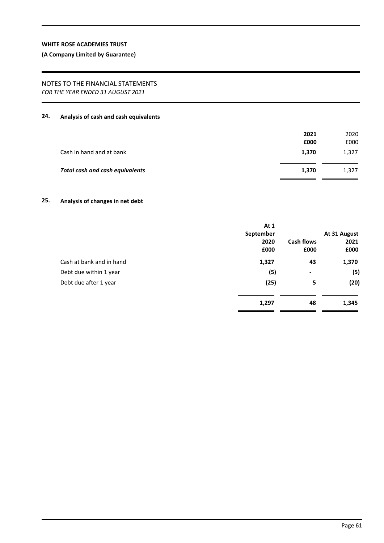## **(A Company Limited by Guarantee)**

## NOTES TO THE FINANCIAL STATEMENTS *FOR THE YEAR ENDED 31 AUGUST 2021*

## **24. Analysis of cash and cash equivalents**

|                                        | 2021<br>£000 | 2020<br>£000 |
|----------------------------------------|--------------|--------------|
| Cash in hand and at bank               | 1,370        | 1,327        |
| <b>Total cash and cash equivalents</b> | 1,370        | 1,327        |

## **25. Analysis of changes in net debt**

|                          | At 1      |                   |              |
|--------------------------|-----------|-------------------|--------------|
|                          | September |                   | At 31 August |
|                          | 2020      | <b>Cash flows</b> | 2021         |
|                          | £000      | £000              | £000         |
| Cash at bank and in hand | 1,327     | 43                | 1,370        |
| Debt due within 1 year   | (5)       | $\blacksquare$    | (5)          |
| Debt due after 1 year    | (25)      | 5                 | (20)         |
|                          | 1,297     | 48                | 1,345        |
|                          |           |                   |              |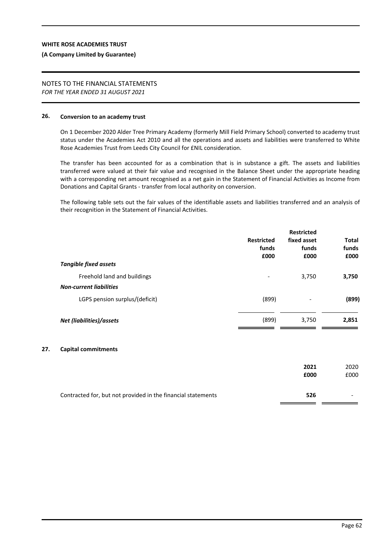#### **(A Company Limited by Guarantee)**

# NOTES TO THE FINANCIAL STATEMENTS

*FOR THE YEAR ENDED 31 AUGUST 2021*

## **26. Conversion to an academy trust**

**27. Capital commitments**

On 1 December 2020 Alder Tree Primary Academy (formerly Mill Field Primary School) converted to academy trust status under the Academies Act 2010 and all the operations and assets and liabilities were transferred to White Rose Academies Trust from Leeds City Council for £NIL consideration.

The transfer has been accounted for as a combination that is in substance a gift. The assets and liabilities transferred were valued at their fair value and recognised in the Balance Sheet under the appropriate heading with a corresponding net amount recognised as a net gain in the Statement of Financial Activities as Income from Donations and Capital Grants - transfer from local authority on conversion.

The following table sets out the fair values of the identifiable assets and liabilities transferred and an analysis of their recognition in the Statement of Financial Activities.

| <b>Tangible fixed assets</b>                                  | <b>Restricted</b><br>funds<br>£000 | <b>Restricted</b><br>fixed asset<br>funds<br>£000 | Total<br>funds<br>£000 |
|---------------------------------------------------------------|------------------------------------|---------------------------------------------------|------------------------|
| Freehold land and buildings<br><b>Non-current liabilities</b> |                                    | 3,750                                             | 3,750                  |
| LGPS pension surplus/(deficit)                                | (899)                              | -                                                 | (899)                  |
| Net (liabilities)/assets                                      | (899)                              | 3,750                                             | 2,851                  |
| <b>Capital commitments</b>                                    |                                    |                                                   |                        |
|                                                               |                                    | 2021                                              | 2020                   |

| Contracted for, but not provided in the financial statements | 526 |  |
|--------------------------------------------------------------|-----|--|

**£000** £000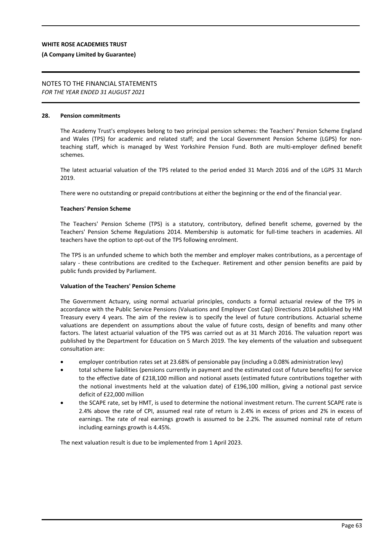#### **(A Company Limited by Guarantee)**

# NOTES TO THE FINANCIAL STATEMENTS

*FOR THE YEAR ENDED 31 AUGUST 2021*

#### **28. Pension commitments**

The Academy Trust's employees belong to two principal pension schemes: the Teachers' Pension Scheme England and Wales (TPS) for academic and related staff; and the Local Government Pension Scheme (LGPS) for nonteaching staff, which is managed by West Yorkshire Pension Fund. Both are multi-employer defined benefit schemes.

The latest actuarial valuation of the TPS related to the period ended 31 March 2016 and of the LGPS 31 March 2019.

There were no outstanding or prepaid contributions at either the beginning or the end of the financial year.

#### **Teachers' Pension Scheme**

The Teachers' Pension Scheme (TPS) is a statutory, contributory, defined benefit scheme, governed by the Teachers' Pension Scheme Regulations 2014. Membership is automatic for full-time teachers in academies. All teachers have the option to opt-out of the TPS following enrolment.

The TPS is an unfunded scheme to which both the member and employer makes contributions, as a percentage of salary - these contributions are credited to the Exchequer. Retirement and other pension benefits are paid by public funds provided by Parliament.

#### **Valuation of the Teachers' Pension Scheme**

The Government Actuary, using normal actuarial principles, conducts a formal actuarial review of the TPS in accordance with the Public Service Pensions (Valuations and Employer Cost Cap) Directions 2014 published by HM Treasury every 4 years. The aim of the review is to specify the level of future contributions. Actuarial scheme valuations are dependent on assumptions about the value of future costs, design of benefits and many other factors. The latest actuarial valuation of the TPS was carried out as at 31 March 2016. The valuation report was published by the Department for Education on 5 March 2019. The key elements of the valuation and subsequent consultation are:

- employer contribution rates set at 23.68% of pensionable pay (including a 0.08% administration levy)
- total scheme liabilities (pensions currently in payment and the estimated cost of future benefits) for service to the effective date of £218,100 million and notional assets (estimated future contributions together with the notional investments held at the valuation date) of £196,100 million, giving a notional past service deficit of £22,000 million
- the SCAPE rate, set by HMT, is used to determine the notional investment return. The current SCAPE rate is 2.4% above the rate of CPI, assumed real rate of return is 2.4% in excess of prices and 2% in excess of earnings. The rate of real earnings growth is assumed to be 2.2%. The assumed nominal rate of return including earnings growth is 4.45%.

The next valuation result is due to be implemented from 1 April 2023.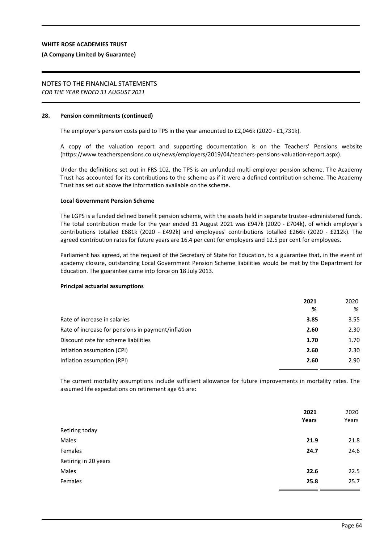#### **(A Company Limited by Guarantee)**

# NOTES TO THE FINANCIAL STATEMENTS

*FOR THE YEAR ENDED 31 AUGUST 2021*

### **28. Pension commitments (continued)**

The employer's pension costs paid to TPS in the year amounted to £2,046k (2020 - £1,731k).

A copy of the valuation report and supporting documentation is on the Teachers' Pensions website (https://www.teacherspensions.co.uk/news/employers/2019/04/teachers-pensions-valuation-report.aspx).

Under the definitions set out in FRS 102, the TPS is an unfunded multi-employer pension scheme. The Academy Trust has accounted for its contributions to the scheme as if it were a defined contribution scheme. The Academy Trust has set out above the information available on the scheme.

#### **Local Government Pension Scheme**

The LGPS is a funded defined benefit pension scheme, with the assets held in separate trustee-administered funds. The total contribution made for the year ended 31 August 2021 was £947k (2020 - £704k), of which employer's contributions totalled £681k (2020 - £492k) and employees' contributions totalled £266k (2020 - £212k). The agreed contribution rates for future years are 16.4 per cent for employers and 12.5 per cent for employees.

Parliament has agreed, at the request of the Secretary of State for Education, to a guarantee that, in the event of academy closure, outstanding Local Government Pension Scheme liabilities would be met by the Department for Education. The guarantee came into force on 18 July 2013.

#### **Principal actuarial assumptions**

|                                                    | 2021<br>% | 2020<br>% |
|----------------------------------------------------|-----------|-----------|
| Rate of increase in salaries                       | 3.85      | 3.55      |
| Rate of increase for pensions in payment/inflation | 2.60      | 2.30      |
| Discount rate for scheme liabilities               | 1.70      | 1.70      |
| Inflation assumption (CPI)                         | 2.60      | 2.30      |
| Inflation assumption (RPI)                         | 2.60      | 2.90      |

The current mortality assumptions include sufficient allowance for future improvements in mortality rates. The assumed life expectations on retirement age 65 are:

|                      | 2021<br>Years | 2020<br>Years |
|----------------------|---------------|---------------|
| Retiring today       |               |               |
| Males                | 21.9          | 21.8          |
| Females              | 24.7          | 24.6          |
| Retiring in 20 years |               |               |
| Males                | 22.6          | 22.5          |
| Females              | 25.8          | 25.7          |
|                      |               |               |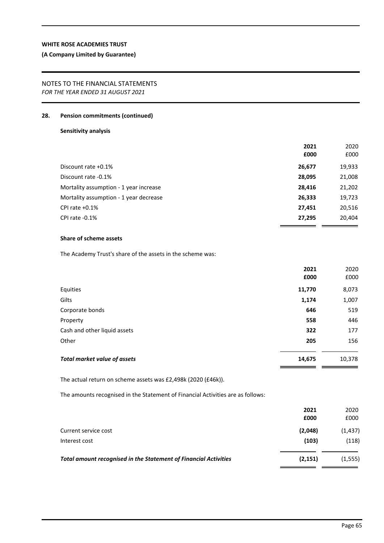## **(A Company Limited by Guarantee)**

#### NOTES TO THE FINANCIAL STATEMENTS *FOR THE YEAR ENDED 31 AUGUST 2021*

#### **28. Pension commitments (continued)**

## **Sensitivity analysis**

|                                        | 2021   | 2020   |
|----------------------------------------|--------|--------|
|                                        | £000   | £000   |
| Discount rate +0.1%                    | 26,677 | 19,933 |
| Discount rate -0.1%                    | 28,095 | 21,008 |
| Mortality assumption - 1 year increase | 28,416 | 21,202 |
| Mortality assumption - 1 year decrease | 26,333 | 19,723 |
| CPI rate $+0.1\%$                      | 27,451 | 20,516 |
| CPI rate -0.1%                         | 27,295 | 20,404 |

## **Share of scheme assets**

The Academy Trust's share of the assets in the scheme was:

|                                     | 2021   | 2020   |
|-------------------------------------|--------|--------|
|                                     | £000   | £000   |
| Equities                            | 11,770 | 8,073  |
| Gilts                               | 1,174  | 1,007  |
| Corporate bonds                     | 646    | 519    |
| Property                            | 558    | 446    |
| Cash and other liquid assets        | 322    | 177    |
| Other                               | 205    | 156    |
| <b>Total market value of assets</b> | 14,675 | 10,378 |

The actual return on scheme assets was £2,498k (2020 (£46k)).

The amounts recognised in the Statement of Financial Activities are as follows:

|                                                                         | 2021<br>£000 | 2020<br>£000 |
|-------------------------------------------------------------------------|--------------|--------------|
| Current service cost                                                    | (2,048)      | (1, 437)     |
| Interest cost                                                           | (103)        | (118)        |
| <b>Total amount recognised in the Statement of Financial Activities</b> | (2, 151)     | (1, 555)     |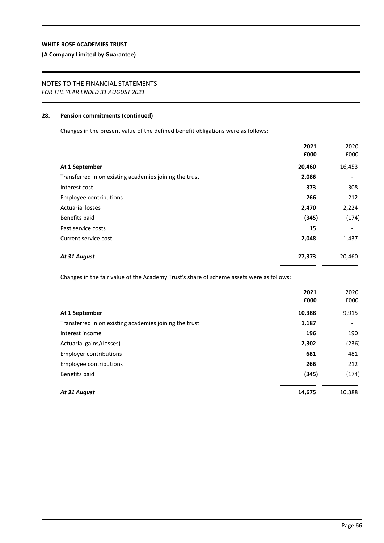## **(A Company Limited by Guarantee)**

## NOTES TO THE FINANCIAL STATEMENTS

*FOR THE YEAR ENDED 31 AUGUST 2021*

#### **28. Pension commitments (continued)**

Changes in the present value of the defined benefit obligations were as follows:

|                                                        | 2021   | 2020   |
|--------------------------------------------------------|--------|--------|
|                                                        | £000   | £000   |
| At 1 September                                         | 20,460 | 16,453 |
| Transferred in on existing academies joining the trust | 2,086  | ٠      |
| Interest cost                                          | 373    | 308    |
| Employee contributions                                 | 266    | 212    |
| <b>Actuarial losses</b>                                | 2,470  | 2,224  |
| Benefits paid                                          | (345)  | (174)  |
| Past service costs                                     | 15     |        |
| Current service cost                                   | 2,048  | 1,437  |
| At 31 August                                           | 27,373 | 20,460 |
|                                                        |        |        |

Changes in the fair value of the Academy Trust's share of scheme assets were as follows:

|                                                        | 2021<br>£000 | 2020<br>£000 |
|--------------------------------------------------------|--------------|--------------|
| At 1 September                                         | 10,388       | 9,915        |
| Transferred in on existing academies joining the trust | 1,187        |              |
| Interest income                                        | 196          | 190          |
| Actuarial gains/(losses)                               | 2,302        | (236)        |
| <b>Employer contributions</b>                          | 681          | 481          |
| Employee contributions                                 | 266          | 212          |
| Benefits paid                                          | (345)        | (174)        |
| At 31 August                                           | 14,675       | 10,388       |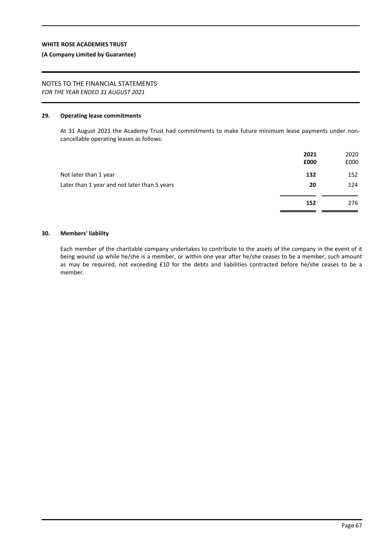#### **(A Company Limited by Guarantee)**

# NOTES TO THE FINANCIAL STATEMENTS

*FOR THE YEAR ENDED 31 AUGUST 2021*

#### **29. Operating lease commitments**

At 31 August 2021 the Academy Trust had commitments to make future minimum lease payments under noncancellable operating leases as follows:

|                                              | 2021<br>£000 | 2020<br>£000 |
|----------------------------------------------|--------------|--------------|
| Not later than 1 year                        | 132          | 152          |
| Later than 1 year and not later than 5 years | 20           | 124          |
|                                              | 152          | 276          |

#### **30. Members' liability**

Each member of the charitable company undertakes to contribute to the assets of the company in the event of it being wound up while he/she is a member, or within one year after he/she ceases to be a member, such amount as may be required, not exceeding £10 for the debts and liabilities contracted before he/she ceases to be a member.